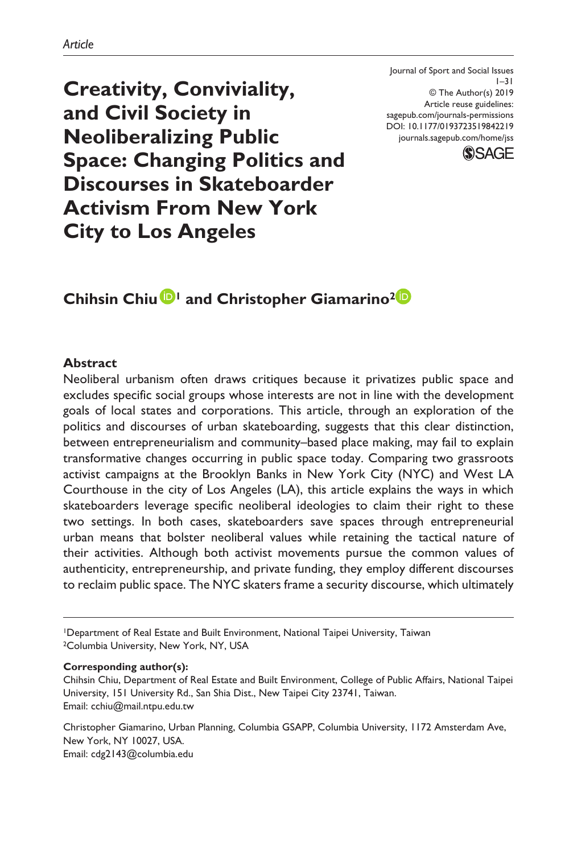DOI: 10.1177/0193723519842219 Journal of Sport and Social Issues  $1 - 31$ © The Author(s) 2019 Article reuse guidelines: [sagepub.com/journals-permissions](https://us.sagepub.com/en-us/journals-permissions) [journals.sagepub.com/home/jss](https://journals.sagepub.com/home/jss)



**Creativity, Conviviality, and Civil Society in Neoliberalizing Public Space: Changing Politics and Discourses in Skateboarder Activism From New York City to Los Angeles**

# **Chihsin Chiu<sup>D</sup><sup>1</sup> and Christopher Giamarino<sup>2</sup><sup>D</sup>**

### **Abstract**

Neoliberal urbanism often draws critiques because it privatizes public space and excludes specific social groups whose interests are not in line with the development goals of local states and corporations. This article, through an exploration of the politics and discourses of urban skateboarding, suggests that this clear distinction, between entrepreneurialism and community–based place making, may fail to explain transformative changes occurring in public space today. Comparing two grassroots activist campaigns at the Brooklyn Banks in New York City (NYC) and West LA Courthouse in the city of Los Angeles (LA), this article explains the ways in which skateboarders leverage specific neoliberal ideologies to claim their right to these two settings. In both cases, skateboarders save spaces through entrepreneurial urban means that bolster neoliberal values while retaining the tactical nature of their activities. Although both activist movements pursue the common values of authenticity, entrepreneurship, and private funding, they employ different discourses to reclaim public space. The NYC skaters frame a security discourse, which ultimately

1Department of Real Estate and Built Environment, National Taipei University, Taiwan 2Columbia University, New York, NY, USA

**Corresponding author(s):**

Chihsin Chiu, Department of Real Estate and Built Environment, College of Public Affairs, National Taipei University, 151 University Rd., San Shia Dist., New Taipei City 23741, Taiwan. Email: [cchiu@mail.ntpu.edu.tw](mailto:cchiu@mail.ntpu.edu.tw)

Christopher Giamarino, Urban Planning, Columbia GSAPP, Columbia University, 1172 Amsterdam Ave, New York, NY 10027, USA. Email: cdg2143@columbia.edu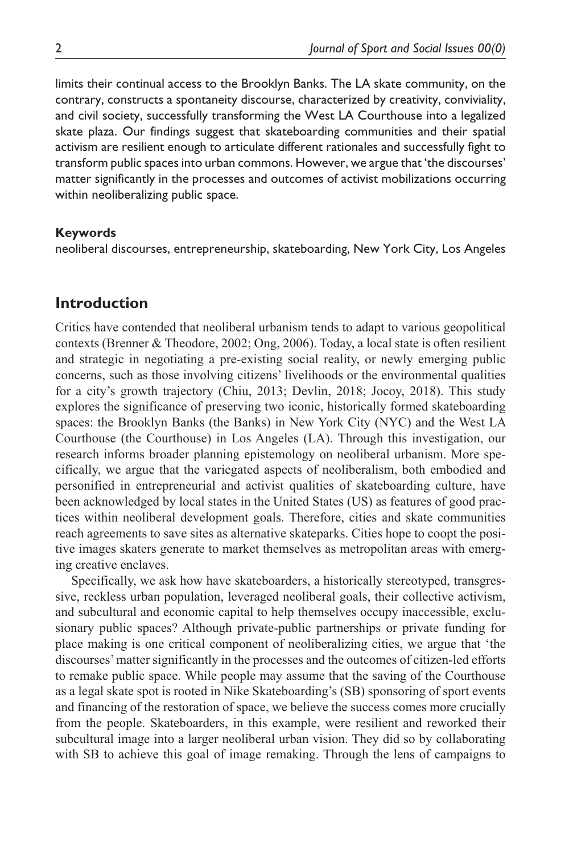limits their continual access to the Brooklyn Banks. The LA skate community, on the contrary, constructs a spontaneity discourse, characterized by creativity, conviviality, and civil society, successfully transforming the West LA Courthouse into a legalized skate plaza. Our findings suggest that skateboarding communities and their spatial activism are resilient enough to articulate different rationales and successfully fight to transform public spaces into urban commons. However, we argue that 'the discourses' matter significantly in the processes and outcomes of activist mobilizations occurring within neoliberalizing public space.

#### **Keywords**

neoliberal discourses, entrepreneurship, skateboarding, New York City, Los Angeles

### **Introduction**

Critics have contended that neoliberal urbanism tends to adapt to various geopolitical contexts (Brenner & Theodore, 2002; Ong, 2006). Today, a local state is often resilient and strategic in negotiating a pre-existing social reality, or newly emerging public concerns, such as those involving citizens' livelihoods or the environmental qualities for a city's growth trajectory (Chiu, 2013; Devlin, 2018; Jocoy, 2018). This study explores the significance of preserving two iconic, historically formed skateboarding spaces: the Brooklyn Banks (the Banks) in New York City (NYC) and the West LA Courthouse (the Courthouse) in Los Angeles (LA). Through this investigation, our research informs broader planning epistemology on neoliberal urbanism. More specifically, we argue that the variegated aspects of neoliberalism, both embodied and personified in entrepreneurial and activist qualities of skateboarding culture, have been acknowledged by local states in the United States (US) as features of good practices within neoliberal development goals. Therefore, cities and skate communities reach agreements to save sites as alternative skateparks. Cities hope to coopt the positive images skaters generate to market themselves as metropolitan areas with emerging creative enclaves.

Specifically, we ask how have skateboarders, a historically stereotyped, transgressive, reckless urban population, leveraged neoliberal goals, their collective activism, and subcultural and economic capital to help themselves occupy inaccessible, exclusionary public spaces? Although private-public partnerships or private funding for place making is one critical component of neoliberalizing cities, we argue that 'the discourses' matter significantly in the processes and the outcomes of citizen-led efforts to remake public space. While people may assume that the saving of the Courthouse as a legal skate spot is rooted in Nike Skateboarding's (SB) sponsoring of sport events and financing of the restoration of space, we believe the success comes more crucially from the people. Skateboarders, in this example, were resilient and reworked their subcultural image into a larger neoliberal urban vision. They did so by collaborating with SB to achieve this goal of image remaking. Through the lens of campaigns to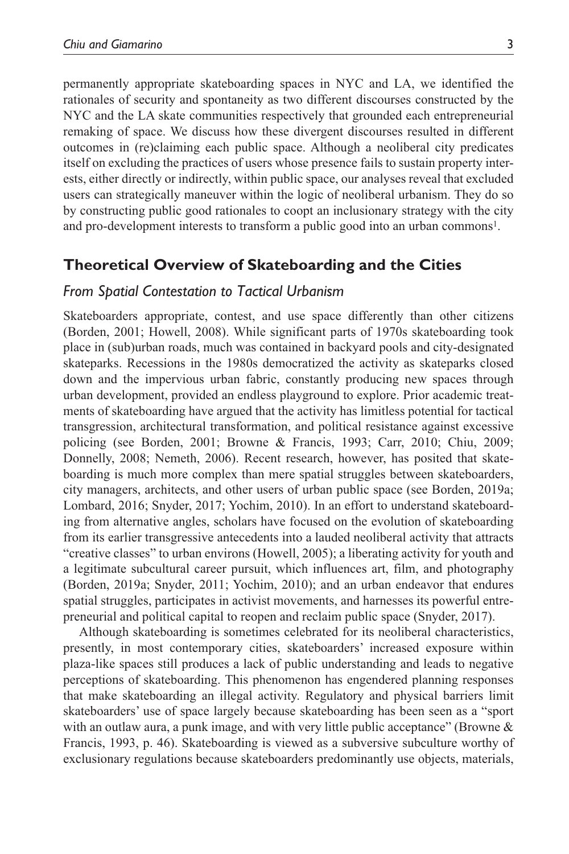permanently appropriate skateboarding spaces in NYC and LA, we identified the rationales of security and spontaneity as two different discourses constructed by the NYC and the LA skate communities respectively that grounded each entrepreneurial remaking of space. We discuss how these divergent discourses resulted in different outcomes in (re)claiming each public space. Although a neoliberal city predicates itself on excluding the practices of users whose presence fails to sustain property interests, either directly or indirectly, within public space, our analyses reveal that excluded users can strategically maneuver within the logic of neoliberal urbanism. They do so by constructing public good rationales to coopt an inclusionary strategy with the city and pro-development interests to transform a public good into an urban commons<sup>1</sup>.

### **Theoretical Overview of Skateboarding and the Cities**

#### *From Spatial Contestation to Tactical Urbanism*

Skateboarders appropriate, contest, and use space differently than other citizens (Borden, 2001; Howell, 2008). While significant parts of 1970s skateboarding took place in (sub)urban roads, much was contained in backyard pools and city-designated skateparks. Recessions in the 1980s democratized the activity as skateparks closed down and the impervious urban fabric, constantly producing new spaces through urban development, provided an endless playground to explore. Prior academic treatments of skateboarding have argued that the activity has limitless potential for tactical transgression, architectural transformation, and political resistance against excessive policing (see Borden, 2001; Browne & Francis, 1993; Carr, 2010; Chiu, 2009; Donnelly, 2008; Nemeth, 2006). Recent research, however, has posited that skateboarding is much more complex than mere spatial struggles between skateboarders, city managers, architects, and other users of urban public space (see Borden, 2019a; Lombard, 2016; Snyder, 2017; Yochim, 2010). In an effort to understand skateboarding from alternative angles, scholars have focused on the evolution of skateboarding from its earlier transgressive antecedents into a lauded neoliberal activity that attracts "creative classes" to urban environs (Howell, 2005); a liberating activity for youth and a legitimate subcultural career pursuit, which influences art, film, and photography (Borden, 2019a; Snyder, 2011; Yochim, 2010); and an urban endeavor that endures spatial struggles, participates in activist movements, and harnesses its powerful entrepreneurial and political capital to reopen and reclaim public space (Snyder, 2017).

Although skateboarding is sometimes celebrated for its neoliberal characteristics, presently, in most contemporary cities, skateboarders' increased exposure within plaza-like spaces still produces a lack of public understanding and leads to negative perceptions of skateboarding. This phenomenon has engendered planning responses that make skateboarding an illegal activity. Regulatory and physical barriers limit skateboarders' use of space largely because skateboarding has been seen as a "sport with an outlaw aura, a punk image, and with very little public acceptance" (Browne  $\&$ Francis, 1993, p. 46). Skateboarding is viewed as a subversive subculture worthy of exclusionary regulations because skateboarders predominantly use objects, materials,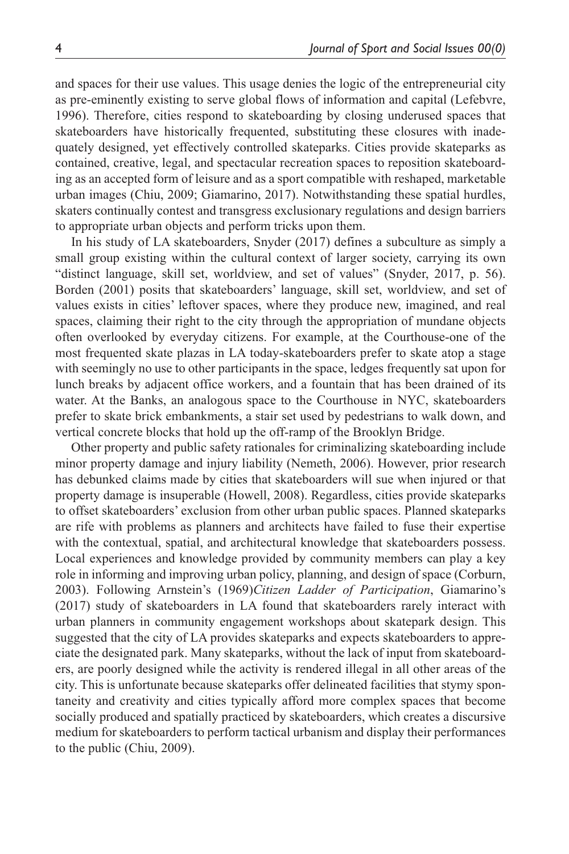and spaces for their use values. This usage denies the logic of the entrepreneurial city as pre-eminently existing to serve global flows of information and capital (Lefebvre, 1996). Therefore, cities respond to skateboarding by closing underused spaces that skateboarders have historically frequented, substituting these closures with inadequately designed, yet effectively controlled skateparks. Cities provide skateparks as contained, creative, legal, and spectacular recreation spaces to reposition skateboarding as an accepted form of leisure and as a sport compatible with reshaped, marketable urban images (Chiu, 2009; Giamarino, 2017). Notwithstanding these spatial hurdles, skaters continually contest and transgress exclusionary regulations and design barriers to appropriate urban objects and perform tricks upon them.

In his study of LA skateboarders, Snyder (2017) defines a subculture as simply a small group existing within the cultural context of larger society, carrying its own "distinct language, skill set, worldview, and set of values" (Snyder, 2017, p. 56). Borden (2001) posits that skateboarders' language, skill set, worldview, and set of values exists in cities' leftover spaces, where they produce new, imagined, and real spaces, claiming their right to the city through the appropriation of mundane objects often overlooked by everyday citizens. For example, at the Courthouse-one of the most frequented skate plazas in LA today-skateboarders prefer to skate atop a stage with seemingly no use to other participants in the space, ledges frequently sat upon for lunch breaks by adjacent office workers, and a fountain that has been drained of its water. At the Banks, an analogous space to the Courthouse in NYC, skateboarders prefer to skate brick embankments, a stair set used by pedestrians to walk down, and vertical concrete blocks that hold up the off-ramp of the Brooklyn Bridge.

Other property and public safety rationales for criminalizing skateboarding include minor property damage and injury liability (Nemeth, 2006). However, prior research has debunked claims made by cities that skateboarders will sue when injured or that property damage is insuperable (Howell, 2008). Regardless, cities provide skateparks to offset skateboarders' exclusion from other urban public spaces. Planned skateparks are rife with problems as planners and architects have failed to fuse their expertise with the contextual, spatial, and architectural knowledge that skateboarders possess. Local experiences and knowledge provided by community members can play a key role in informing and improving urban policy, planning, and design of space (Corburn, 2003). Following Arnstein's (1969)*Citizen Ladder of Participation*, Giamarino's (2017) study of skateboarders in LA found that skateboarders rarely interact with urban planners in community engagement workshops about skatepark design. This suggested that the city of LA provides skateparks and expects skateboarders to appreciate the designated park. Many skateparks, without the lack of input from skateboarders, are poorly designed while the activity is rendered illegal in all other areas of the city. This is unfortunate because skateparks offer delineated facilities that stymy spontaneity and creativity and cities typically afford more complex spaces that become socially produced and spatially practiced by skateboarders, which creates a discursive medium for skateboarders to perform tactical urbanism and display their performances to the public (Chiu, 2009).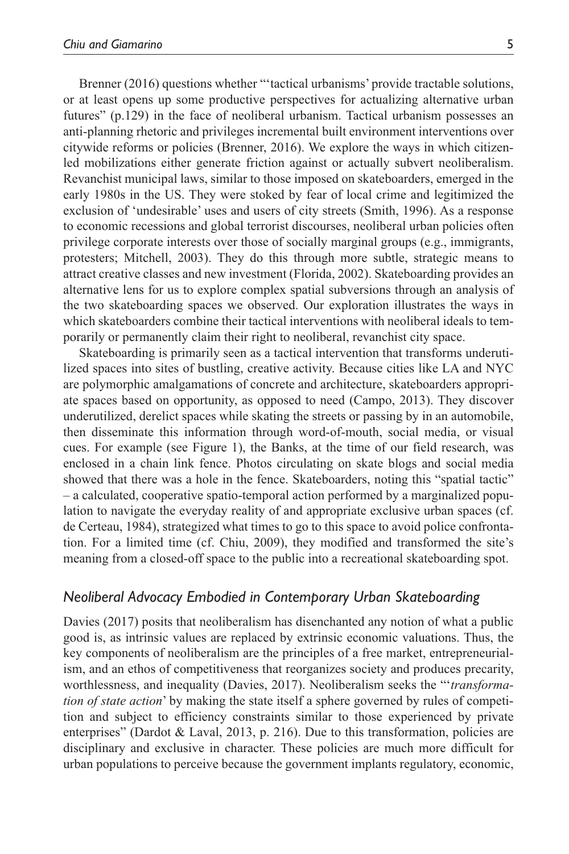Brenner (2016) questions whether "'tactical urbanisms' provide tractable solutions, or at least opens up some productive perspectives for actualizing alternative urban futures" (p.129) in the face of neoliberal urbanism. Tactical urbanism possesses an anti-planning rhetoric and privileges incremental built environment interventions over citywide reforms or policies (Brenner, 2016). We explore the ways in which citizenled mobilizations either generate friction against or actually subvert neoliberalism. Revanchist municipal laws, similar to those imposed on skateboarders, emerged in the early 1980s in the US. They were stoked by fear of local crime and legitimized the exclusion of 'undesirable' uses and users of city streets (Smith, 1996). As a response to economic recessions and global terrorist discourses, neoliberal urban policies often privilege corporate interests over those of socially marginal groups (e.g., immigrants, protesters; Mitchell, 2003). They do this through more subtle, strategic means to attract creative classes and new investment (Florida, 2002). Skateboarding provides an alternative lens for us to explore complex spatial subversions through an analysis of the two skateboarding spaces we observed. Our exploration illustrates the ways in which skateboarders combine their tactical interventions with neoliberal ideals to temporarily or permanently claim their right to neoliberal, revanchist city space.

Skateboarding is primarily seen as a tactical intervention that transforms underutilized spaces into sites of bustling, creative activity. Because cities like LA and NYC are polymorphic amalgamations of concrete and architecture, skateboarders appropriate spaces based on opportunity, as opposed to need (Campo, 2013). They discover underutilized, derelict spaces while skating the streets or passing by in an automobile, then disseminate this information through word-of-mouth, social media, or visual cues. For example (see Figure 1), the Banks, at the time of our field research, was enclosed in a chain link fence. Photos circulating on skate blogs and social media showed that there was a hole in the fence. Skateboarders, noting this "spatial tactic" – a calculated, cooperative spatio-temporal action performed by a marginalized population to navigate the everyday reality of and appropriate exclusive urban spaces (cf. de Certeau, 1984), strategized what times to go to this space to avoid police confrontation. For a limited time (cf. Chiu, 2009), they modified and transformed the site's meaning from a closed-off space to the public into a recreational skateboarding spot.

#### *Neoliberal Advocacy Embodied in Contemporary Urban Skateboarding*

Davies (2017) posits that neoliberalism has disenchanted any notion of what a public good is, as intrinsic values are replaced by extrinsic economic valuations. Thus, the key components of neoliberalism are the principles of a free market, entrepreneurialism, and an ethos of competitiveness that reorganizes society and produces precarity, worthlessness, and inequality (Davies, 2017). Neoliberalism seeks the "'*transformation of state action*' by making the state itself a sphere governed by rules of competition and subject to efficiency constraints similar to those experienced by private enterprises" (Dardot & Laval, 2013, p. 216). Due to this transformation, policies are disciplinary and exclusive in character. These policies are much more difficult for urban populations to perceive because the government implants regulatory, economic,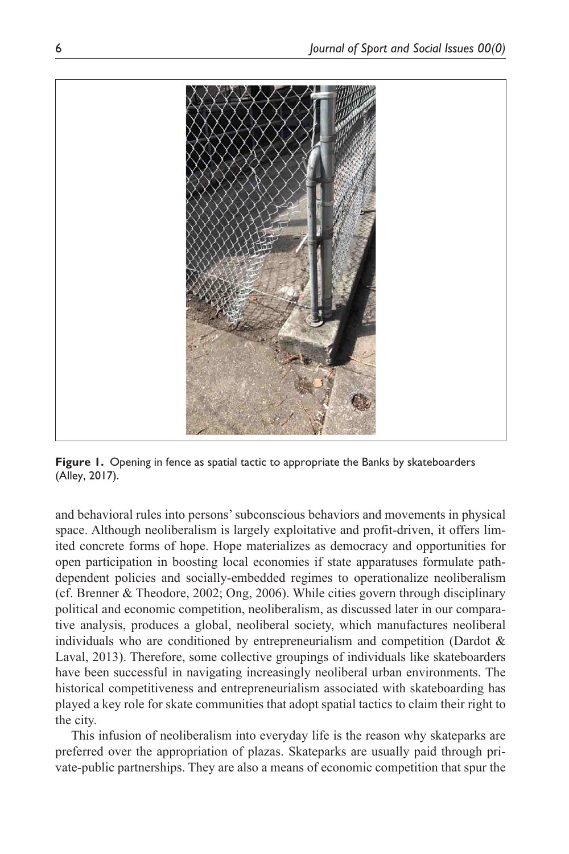

**Figure 1.** Opening in fence as spatial tactic to appropriate the Banks by skateboarders (Alley, 2017).

and behavioral rules into persons' subconscious behaviors and movements in physical space. Although neoliberalism is largely exploitative and profit-driven, it offers limited concrete forms of hope. Hope materializes as democracy and opportunities for open participation in boosting local economies if state apparatuses formulate pathdependent policies and socially-embedded regimes to operationalize neoliberalism (cf. Brenner & Theodore, 2002; Ong, 2006). While cities govern through disciplinary political and economic competition, neoliberalism, as discussed later in our comparative analysis, produces a global, neoliberal society, which manufactures neoliberal individuals who are conditioned by entrepreneurialism and competition (Dardot & Laval, 2013). Therefore, some collective groupings of individuals like skateboarders have been successful in navigating increasingly neoliberal urban environments. The historical competitiveness and entrepreneurialism associated with skateboarding has played a key role for skate communities that adopt spatial tactics to claim their right to the city.

This infusion of neoliberalism into everyday life is the reason why skateparks are preferred over the appropriation of plazas. Skateparks are usually paid through private-public partnerships. They are also a means of economic competition that spur the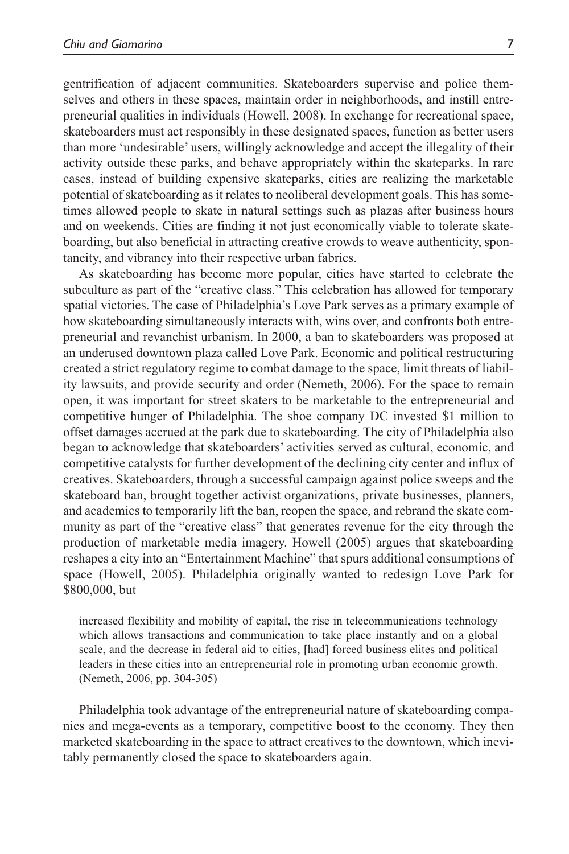gentrification of adjacent communities. Skateboarders supervise and police themselves and others in these spaces, maintain order in neighborhoods, and instill entrepreneurial qualities in individuals (Howell, 2008). In exchange for recreational space, skateboarders must act responsibly in these designated spaces, function as better users than more 'undesirable' users, willingly acknowledge and accept the illegality of their activity outside these parks, and behave appropriately within the skateparks. In rare cases, instead of building expensive skateparks, cities are realizing the marketable potential of skateboarding as it relates to neoliberal development goals. This has sometimes allowed people to skate in natural settings such as plazas after business hours and on weekends. Cities are finding it not just economically viable to tolerate skateboarding, but also beneficial in attracting creative crowds to weave authenticity, spontaneity, and vibrancy into their respective urban fabrics.

As skateboarding has become more popular, cities have started to celebrate the subculture as part of the "creative class." This celebration has allowed for temporary spatial victories. The case of Philadelphia's Love Park serves as a primary example of how skateboarding simultaneously interacts with, wins over, and confronts both entrepreneurial and revanchist urbanism. In 2000, a ban to skateboarders was proposed at an underused downtown plaza called Love Park. Economic and political restructuring created a strict regulatory regime to combat damage to the space, limit threats of liability lawsuits, and provide security and order (Nemeth, 2006). For the space to remain open, it was important for street skaters to be marketable to the entrepreneurial and competitive hunger of Philadelphia. The shoe company DC invested \$1 million to offset damages accrued at the park due to skateboarding. The city of Philadelphia also began to acknowledge that skateboarders' activities served as cultural, economic, and competitive catalysts for further development of the declining city center and influx of creatives. Skateboarders, through a successful campaign against police sweeps and the skateboard ban, brought together activist organizations, private businesses, planners, and academics to temporarily lift the ban, reopen the space, and rebrand the skate community as part of the "creative class" that generates revenue for the city through the production of marketable media imagery. Howell (2005) argues that skateboarding reshapes a city into an "Entertainment Machine" that spurs additional consumptions of space (Howell, 2005). Philadelphia originally wanted to redesign Love Park for \$800,000, but

increased flexibility and mobility of capital, the rise in telecommunications technology which allows transactions and communication to take place instantly and on a global scale, and the decrease in federal aid to cities, [had] forced business elites and political leaders in these cities into an entrepreneurial role in promoting urban economic growth. (Nemeth, 2006, pp. 304-305)

Philadelphia took advantage of the entrepreneurial nature of skateboarding companies and mega-events as a temporary, competitive boost to the economy. They then marketed skateboarding in the space to attract creatives to the downtown, which inevitably permanently closed the space to skateboarders again.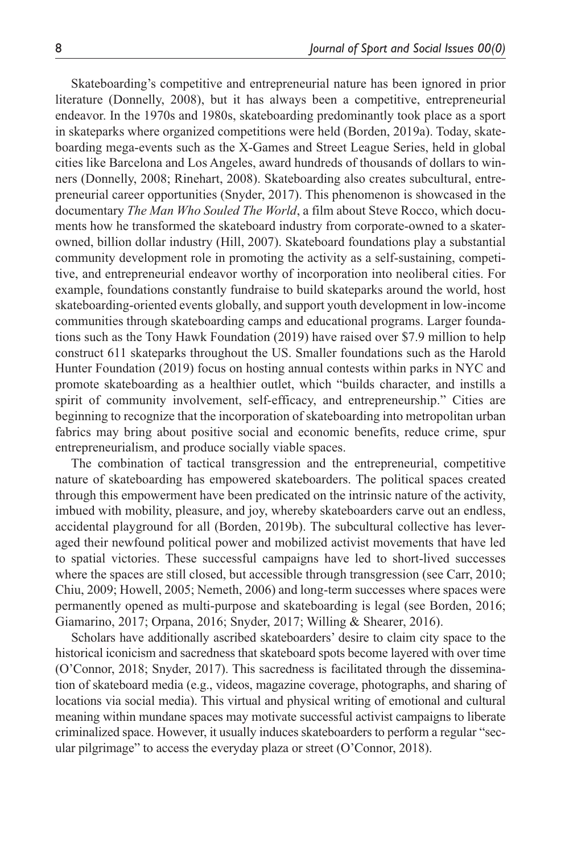Skateboarding's competitive and entrepreneurial nature has been ignored in prior literature (Donnelly, 2008), but it has always been a competitive, entrepreneurial endeavor. In the 1970s and 1980s, skateboarding predominantly took place as a sport in skateparks where organized competitions were held (Borden, 2019a). Today, skateboarding mega-events such as the X-Games and Street League Series, held in global cities like Barcelona and Los Angeles, award hundreds of thousands of dollars to winners (Donnelly, 2008; Rinehart, 2008). Skateboarding also creates subcultural, entrepreneurial career opportunities (Snyder, 2017). This phenomenon is showcased in the documentary *The Man Who Souled The World*, a film about Steve Rocco, which documents how he transformed the skateboard industry from corporate-owned to a skaterowned, billion dollar industry (Hill, 2007). Skateboard foundations play a substantial community development role in promoting the activity as a self-sustaining, competitive, and entrepreneurial endeavor worthy of incorporation into neoliberal cities. For example, foundations constantly fundraise to build skateparks around the world, host skateboarding-oriented events globally, and support youth development in low-income communities through skateboarding camps and educational programs. Larger foundations such as the Tony Hawk Foundation (2019) have raised over \$7.9 million to help construct 611 skateparks throughout the US. Smaller foundations such as the Harold Hunter Foundation (2019) focus on hosting annual contests within parks in NYC and promote skateboarding as a healthier outlet, which "builds character, and instills a spirit of community involvement, self-efficacy, and entrepreneurship." Cities are beginning to recognize that the incorporation of skateboarding into metropolitan urban fabrics may bring about positive social and economic benefits, reduce crime, spur entrepreneurialism, and produce socially viable spaces.

The combination of tactical transgression and the entrepreneurial, competitive nature of skateboarding has empowered skateboarders. The political spaces created through this empowerment have been predicated on the intrinsic nature of the activity, imbued with mobility, pleasure, and joy, whereby skateboarders carve out an endless, accidental playground for all (Borden, 2019b). The subcultural collective has leveraged their newfound political power and mobilized activist movements that have led to spatial victories. These successful campaigns have led to short-lived successes where the spaces are still closed, but accessible through transgression (see Carr, 2010; Chiu, 2009; Howell, 2005; Nemeth, 2006) and long-term successes where spaces were permanently opened as multi-purpose and skateboarding is legal (see Borden, 2016; Giamarino, 2017; Orpana, 2016; Snyder, 2017; Willing & Shearer, 2016).

Scholars have additionally ascribed skateboarders' desire to claim city space to the historical iconicism and sacredness that skateboard spots become layered with over time (O'Connor, 2018; Snyder, 2017). This sacredness is facilitated through the dissemination of skateboard media (e.g., videos, magazine coverage, photographs, and sharing of locations via social media). This virtual and physical writing of emotional and cultural meaning within mundane spaces may motivate successful activist campaigns to liberate criminalized space. However, it usually induces skateboarders to perform a regular "secular pilgrimage" to access the everyday plaza or street (O'Connor, 2018).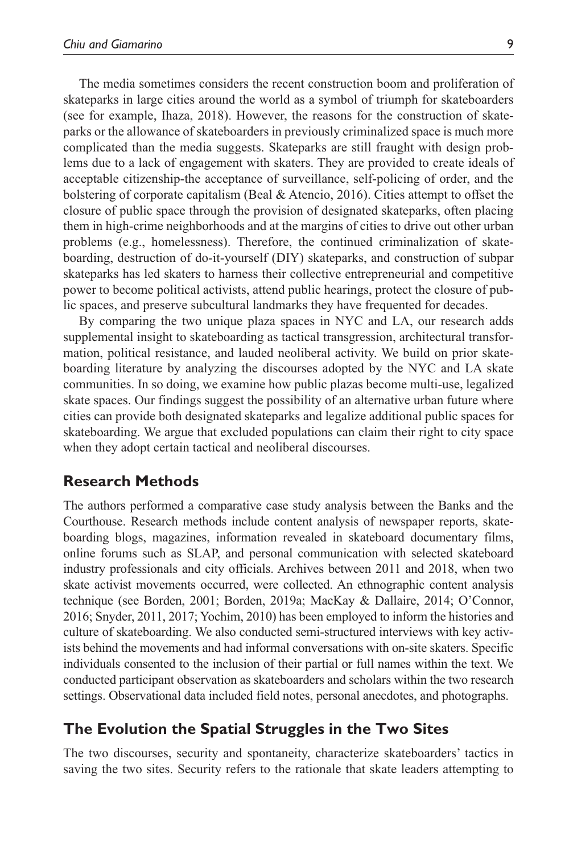The media sometimes considers the recent construction boom and proliferation of skateparks in large cities around the world as a symbol of triumph for skateboarders (see for example, Ihaza, 2018). However, the reasons for the construction of skateparks or the allowance of skateboarders in previously criminalized space is much more complicated than the media suggests. Skateparks are still fraught with design problems due to a lack of engagement with skaters. They are provided to create ideals of acceptable citizenship-the acceptance of surveillance, self-policing of order, and the bolstering of corporate capitalism (Beal & Atencio, 2016). Cities attempt to offset the closure of public space through the provision of designated skateparks, often placing them in high-crime neighborhoods and at the margins of cities to drive out other urban problems (e.g., homelessness). Therefore, the continued criminalization of skateboarding, destruction of do-it-yourself (DIY) skateparks, and construction of subpar skateparks has led skaters to harness their collective entrepreneurial and competitive power to become political activists, attend public hearings, protect the closure of public spaces, and preserve subcultural landmarks they have frequented for decades.

By comparing the two unique plaza spaces in NYC and LA, our research adds supplemental insight to skateboarding as tactical transgression, architectural transformation, political resistance, and lauded neoliberal activity. We build on prior skateboarding literature by analyzing the discourses adopted by the NYC and LA skate communities. In so doing, we examine how public plazas become multi-use, legalized skate spaces. Our findings suggest the possibility of an alternative urban future where cities can provide both designated skateparks and legalize additional public spaces for skateboarding. We argue that excluded populations can claim their right to city space when they adopt certain tactical and neoliberal discourses.

### **Research Methods**

The authors performed a comparative case study analysis between the Banks and the Courthouse. Research methods include content analysis of newspaper reports, skateboarding blogs, magazines, information revealed in skateboard documentary films, online forums such as SLAP, and personal communication with selected skateboard industry professionals and city officials. Archives between 2011 and 2018, when two skate activist movements occurred, were collected. An ethnographic content analysis technique (see Borden, 2001; Borden, 2019a; MacKay & Dallaire, 2014; O'Connor, 2016; Snyder, 2011, 2017; Yochim, 2010) has been employed to inform the histories and culture of skateboarding. We also conducted semi-structured interviews with key activists behind the movements and had informal conversations with on-site skaters. Specific individuals consented to the inclusion of their partial or full names within the text. We conducted participant observation as skateboarders and scholars within the two research settings. Observational data included field notes, personal anecdotes, and photographs.

## **The Evolution the Spatial Struggles in the Two Sites**

The two discourses, security and spontaneity, characterize skateboarders' tactics in saving the two sites. Security refers to the rationale that skate leaders attempting to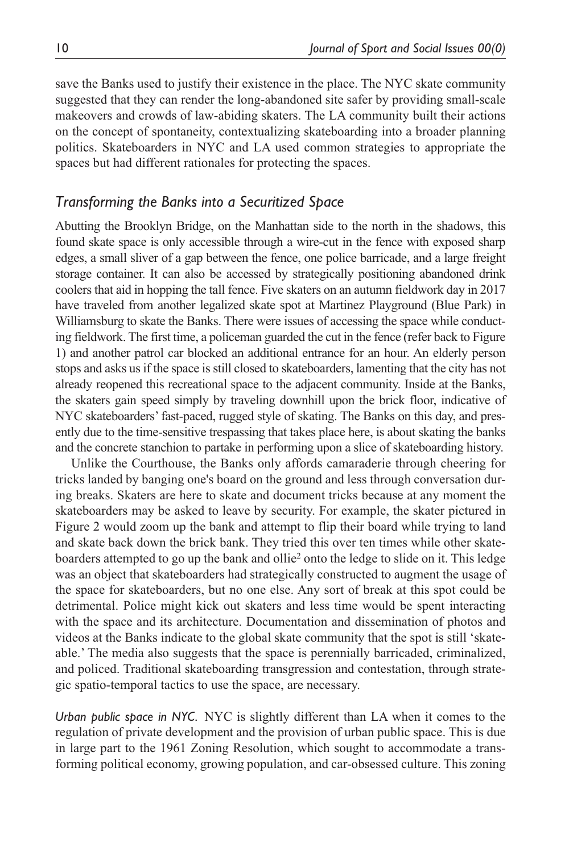save the Banks used to justify their existence in the place. The NYC skate community suggested that they can render the long-abandoned site safer by providing small-scale makeovers and crowds of law-abiding skaters. The LA community built their actions on the concept of spontaneity, contextualizing skateboarding into a broader planning politics. Skateboarders in NYC and LA used common strategies to appropriate the spaces but had different rationales for protecting the spaces.

### *Transforming the Banks into a Securitized Space*

Abutting the Brooklyn Bridge, on the Manhattan side to the north in the shadows, this found skate space is only accessible through a wire-cut in the fence with exposed sharp edges, a small sliver of a gap between the fence, one police barricade, and a large freight storage container. It can also be accessed by strategically positioning abandoned drink coolers that aid in hopping the tall fence. Five skaters on an autumn fieldwork day in 2017 have traveled from another legalized skate spot at Martinez Playground (Blue Park) in Williamsburg to skate the Banks. There were issues of accessing the space while conducting fieldwork. The first time, a policeman guarded the cut in the fence (refer back to Figure 1) and another patrol car blocked an additional entrance for an hour. An elderly person stops and asks us if the space is still closed to skateboarders, lamenting that the city has not already reopened this recreational space to the adjacent community. Inside at the Banks, the skaters gain speed simply by traveling downhill upon the brick floor, indicative of NYC skateboarders' fast-paced, rugged style of skating. The Banks on this day, and presently due to the time-sensitive trespassing that takes place here, is about skating the banks and the concrete stanchion to partake in performing upon a slice of skateboarding history.

Unlike the Courthouse, the Banks only affords camaraderie through cheering for tricks landed by banging one's board on the ground and less through conversation during breaks. Skaters are here to skate and document tricks because at any moment the skateboarders may be asked to leave by security. For example, the skater pictured in Figure 2 would zoom up the bank and attempt to flip their board while trying to land and skate back down the brick bank. They tried this over ten times while other skateboarders attempted to go up the bank and ollie2 onto the ledge to slide on it. This ledge was an object that skateboarders had strategically constructed to augment the usage of the space for skateboarders, but no one else. Any sort of break at this spot could be detrimental. Police might kick out skaters and less time would be spent interacting with the space and its architecture. Documentation and dissemination of photos and videos at the Banks indicate to the global skate community that the spot is still 'skateable.' The media also suggests that the space is perennially barricaded, criminalized, and policed. Traditional skateboarding transgression and contestation, through strategic spatio-temporal tactics to use the space, are necessary.

*Urban public space in NYC.* NYC is slightly different than LA when it comes to the regulation of private development and the provision of urban public space. This is due in large part to the 1961 Zoning Resolution, which sought to accommodate a transforming political economy, growing population, and car-obsessed culture. This zoning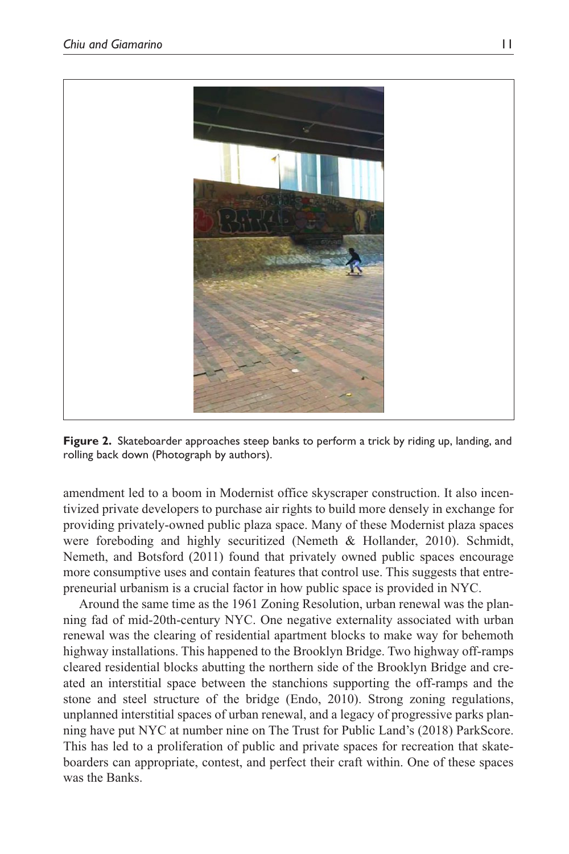

**Figure 2.** Skateboarder approaches steep banks to perform a trick by riding up, landing, and rolling back down (Photograph by authors).

amendment led to a boom in Modernist office skyscraper construction. It also incentivized private developers to purchase air rights to build more densely in exchange for providing privately-owned public plaza space. Many of these Modernist plaza spaces were foreboding and highly securitized (Nemeth & Hollander, 2010). Schmidt, Nemeth, and Botsford (2011) found that privately owned public spaces encourage more consumptive uses and contain features that control use. This suggests that entrepreneurial urbanism is a crucial factor in how public space is provided in NYC.

Around the same time as the 1961 Zoning Resolution, urban renewal was the planning fad of mid-20th-century NYC. One negative externality associated with urban renewal was the clearing of residential apartment blocks to make way for behemoth highway installations. This happened to the Brooklyn Bridge. Two highway off-ramps cleared residential blocks abutting the northern side of the Brooklyn Bridge and created an interstitial space between the stanchions supporting the off-ramps and the stone and steel structure of the bridge (Endo, 2010). Strong zoning regulations, unplanned interstitial spaces of urban renewal, and a legacy of progressive parks planning have put NYC at number nine on The Trust for Public Land's (2018) ParkScore. This has led to a proliferation of public and private spaces for recreation that skateboarders can appropriate, contest, and perfect their craft within. One of these spaces was the Banks.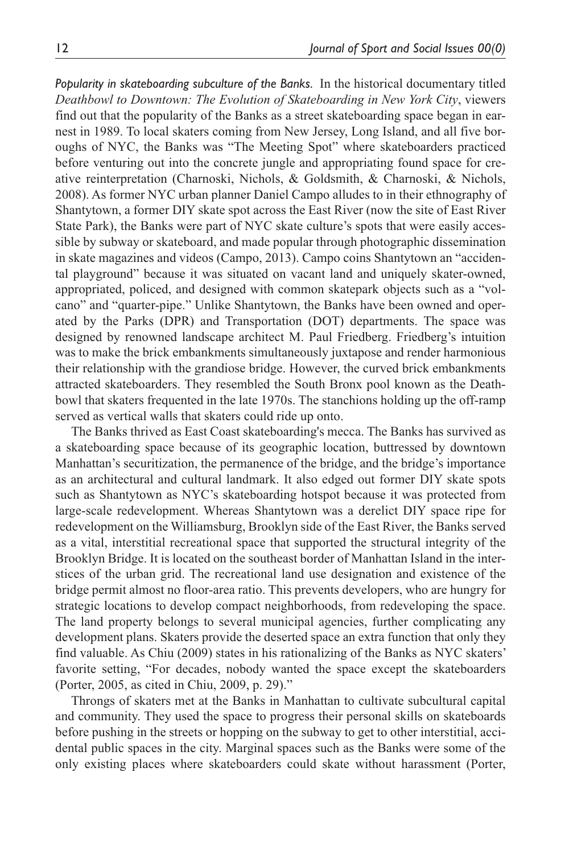*Popularity in skateboarding subculture of the Banks.* In the historical documentary titled *Deathbowl to Downtown: The Evolution of Skateboarding in New York City*, viewers find out that the popularity of the Banks as a street skateboarding space began in earnest in 1989. To local skaters coming from New Jersey, Long Island, and all five boroughs of NYC, the Banks was "The Meeting Spot" where skateboarders practiced before venturing out into the concrete jungle and appropriating found space for creative reinterpretation (Charnoski, Nichols, & Goldsmith, & Charnoski, & Nichols, 2008). As former NYC urban planner Daniel Campo alludes to in their ethnography of Shantytown, a former DIY skate spot across the East River (now the site of East River State Park), the Banks were part of NYC skate culture's spots that were easily accessible by subway or skateboard, and made popular through photographic dissemination in skate magazines and videos (Campo, 2013). Campo coins Shantytown an "accidental playground" because it was situated on vacant land and uniquely skater-owned, appropriated, policed, and designed with common skatepark objects such as a "volcano" and "quarter-pipe." Unlike Shantytown, the Banks have been owned and operated by the Parks (DPR) and Transportation (DOT) departments. The space was designed by renowned landscape architect M. Paul Friedberg. Friedberg's intuition was to make the brick embankments simultaneously juxtapose and render harmonious their relationship with the grandiose bridge. However, the curved brick embankments attracted skateboarders. They resembled the South Bronx pool known as the Deathbowl that skaters frequented in the late 1970s. The stanchions holding up the off-ramp served as vertical walls that skaters could ride up onto.

The Banks thrived as East Coast skateboarding's mecca. The Banks has survived as a skateboarding space because of its geographic location, buttressed by downtown Manhattan's securitization, the permanence of the bridge, and the bridge's importance as an architectural and cultural landmark. It also edged out former DIY skate spots such as Shantytown as NYC's skateboarding hotspot because it was protected from large-scale redevelopment. Whereas Shantytown was a derelict DIY space ripe for redevelopment on the Williamsburg, Brooklyn side of the East River, the Banks served as a vital, interstitial recreational space that supported the structural integrity of the Brooklyn Bridge. It is located on the southeast border of Manhattan Island in the interstices of the urban grid. The recreational land use designation and existence of the bridge permit almost no floor-area ratio. This prevents developers, who are hungry for strategic locations to develop compact neighborhoods, from redeveloping the space. The land property belongs to several municipal agencies, further complicating any development plans. Skaters provide the deserted space an extra function that only they find valuable. As Chiu (2009) states in his rationalizing of the Banks as NYC skaters' favorite setting, "For decades, nobody wanted the space except the skateboarders (Porter, 2005, as cited in Chiu, 2009, p. 29)."

Throngs of skaters met at the Banks in Manhattan to cultivate subcultural capital and community. They used the space to progress their personal skills on skateboards before pushing in the streets or hopping on the subway to get to other interstitial, accidental public spaces in the city. Marginal spaces such as the Banks were some of the only existing places where skateboarders could skate without harassment (Porter,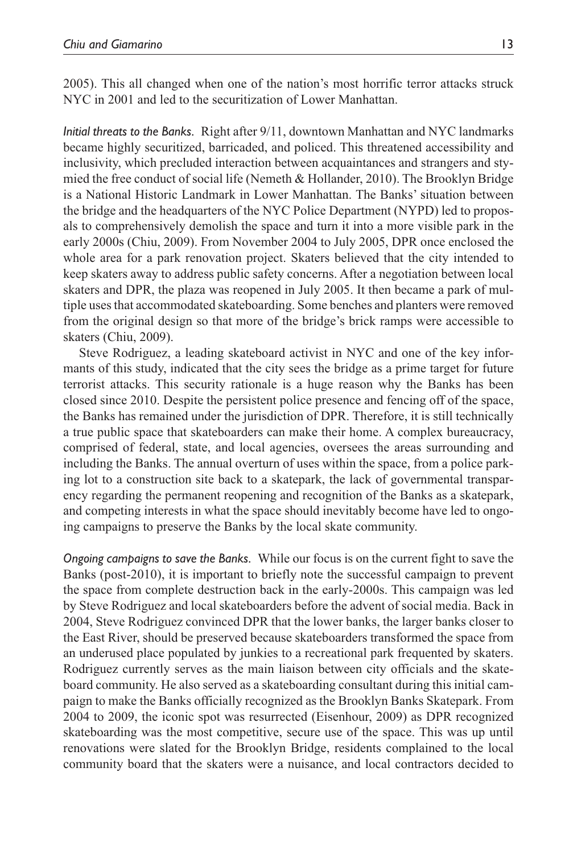2005). This all changed when one of the nation's most horrific terror attacks struck NYC in 2001 and led to the securitization of Lower Manhattan.

*Initial threats to the Banks.* Right after 9/11, downtown Manhattan and NYC landmarks became highly securitized, barricaded, and policed. This threatened accessibility and inclusivity, which precluded interaction between acquaintances and strangers and stymied the free conduct of social life (Nemeth & Hollander, 2010). The Brooklyn Bridge is a National Historic Landmark in Lower Manhattan. The Banks' situation between the bridge and the headquarters of the NYC Police Department (NYPD) led to proposals to comprehensively demolish the space and turn it into a more visible park in the early 2000s (Chiu, 2009). From November 2004 to July 2005, DPR once enclosed the whole area for a park renovation project. Skaters believed that the city intended to keep skaters away to address public safety concerns. After a negotiation between local skaters and DPR, the plaza was reopened in July 2005. It then became a park of multiple uses that accommodated skateboarding. Some benches and planters were removed from the original design so that more of the bridge's brick ramps were accessible to skaters (Chiu, 2009).

Steve Rodriguez, a leading skateboard activist in NYC and one of the key informants of this study, indicated that the city sees the bridge as a prime target for future terrorist attacks. This security rationale is a huge reason why the Banks has been closed since 2010. Despite the persistent police presence and fencing off of the space, the Banks has remained under the jurisdiction of DPR. Therefore, it is still technically a true public space that skateboarders can make their home. A complex bureaucracy, comprised of federal, state, and local agencies, oversees the areas surrounding and including the Banks. The annual overturn of uses within the space, from a police parking lot to a construction site back to a skatepark, the lack of governmental transparency regarding the permanent reopening and recognition of the Banks as a skatepark, and competing interests in what the space should inevitably become have led to ongoing campaigns to preserve the Banks by the local skate community.

*Ongoing campaigns to save the Banks.* While our focus is on the current fight to save the Banks (post-2010), it is important to briefly note the successful campaign to prevent the space from complete destruction back in the early-2000s. This campaign was led by Steve Rodriguez and local skateboarders before the advent of social media. Back in 2004, Steve Rodriguez convinced DPR that the lower banks, the larger banks closer to the East River, should be preserved because skateboarders transformed the space from an underused place populated by junkies to a recreational park frequented by skaters. Rodriguez currently serves as the main liaison between city officials and the skateboard community. He also served as a skateboarding consultant during this initial campaign to make the Banks officially recognized as the Brooklyn Banks Skatepark. From 2004 to 2009, the iconic spot was resurrected (Eisenhour, 2009) as DPR recognized skateboarding was the most competitive, secure use of the space. This was up until renovations were slated for the Brooklyn Bridge, residents complained to the local community board that the skaters were a nuisance, and local contractors decided to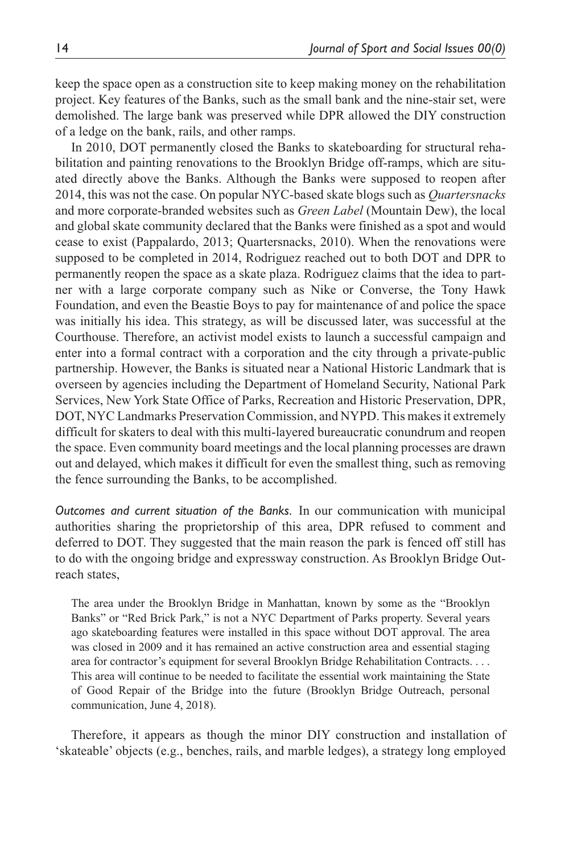keep the space open as a construction site to keep making money on the rehabilitation project. Key features of the Banks, such as the small bank and the nine-stair set, were demolished. The large bank was preserved while DPR allowed the DIY construction of a ledge on the bank, rails, and other ramps.

In 2010, DOT permanently closed the Banks to skateboarding for structural rehabilitation and painting renovations to the Brooklyn Bridge off-ramps, which are situated directly above the Banks. Although the Banks were supposed to reopen after 2014, this was not the case. On popular NYC-based skate blogs such as *Quartersnacks* and more corporate-branded websites such as *Green Label* (Mountain Dew), the local and global skate community declared that the Banks were finished as a spot and would cease to exist (Pappalardo, 2013; Quartersnacks, 2010). When the renovations were supposed to be completed in 2014, Rodriguez reached out to both DOT and DPR to permanently reopen the space as a skate plaza. Rodriguez claims that the idea to partner with a large corporate company such as Nike or Converse, the Tony Hawk Foundation, and even the Beastie Boys to pay for maintenance of and police the space was initially his idea. This strategy, as will be discussed later, was successful at the Courthouse. Therefore, an activist model exists to launch a successful campaign and enter into a formal contract with a corporation and the city through a private-public partnership. However, the Banks is situated near a National Historic Landmark that is overseen by agencies including the Department of Homeland Security, National Park Services, New York State Office of Parks, Recreation and Historic Preservation, DPR, DOT, NYC Landmarks Preservation Commission, and NYPD. This makes it extremely difficult for skaters to deal with this multi-layered bureaucratic conundrum and reopen the space. Even community board meetings and the local planning processes are drawn out and delayed, which makes it difficult for even the smallest thing, such as removing the fence surrounding the Banks, to be accomplished.

*Outcomes and current situation of the Banks.* In our communication with municipal authorities sharing the proprietorship of this area, DPR refused to comment and deferred to DOT. They suggested that the main reason the park is fenced off still has to do with the ongoing bridge and expressway construction. As Brooklyn Bridge Outreach states,

The area under the Brooklyn Bridge in Manhattan, known by some as the "Brooklyn Banks" or "Red Brick Park," is not a NYC Department of Parks property. Several years ago skateboarding features were installed in this space without DOT approval. The area was closed in 2009 and it has remained an active construction area and essential staging area for contractor's equipment for several Brooklyn Bridge Rehabilitation Contracts. . . . This area will continue to be needed to facilitate the essential work maintaining the State of Good Repair of the Bridge into the future (Brooklyn Bridge Outreach, personal communication, June 4, 2018).

Therefore, it appears as though the minor DIY construction and installation of 'skateable' objects (e.g., benches, rails, and marble ledges), a strategy long employed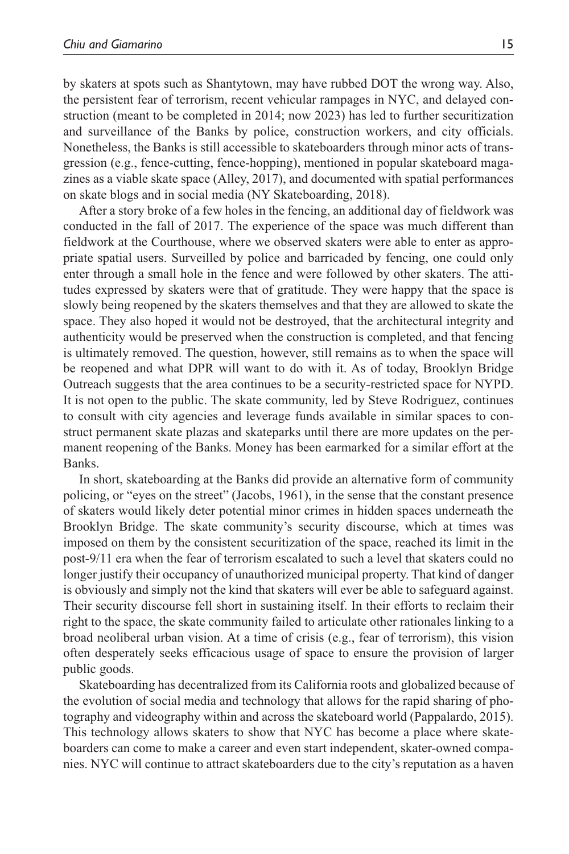by skaters at spots such as Shantytown, may have rubbed DOT the wrong way. Also, the persistent fear of terrorism, recent vehicular rampages in NYC, and delayed construction (meant to be completed in 2014; now 2023) has led to further securitization and surveillance of the Banks by police, construction workers, and city officials. Nonetheless, the Banks is still accessible to skateboarders through minor acts of transgression (e.g., fence-cutting, fence-hopping), mentioned in popular skateboard magazines as a viable skate space (Alley, 2017), and documented with spatial performances on skate blogs and in social media (NY Skateboarding, 2018).

After a story broke of a few holes in the fencing, an additional day of fieldwork was conducted in the fall of 2017. The experience of the space was much different than fieldwork at the Courthouse, where we observed skaters were able to enter as appropriate spatial users. Surveilled by police and barricaded by fencing, one could only enter through a small hole in the fence and were followed by other skaters. The attitudes expressed by skaters were that of gratitude. They were happy that the space is slowly being reopened by the skaters themselves and that they are allowed to skate the space. They also hoped it would not be destroyed, that the architectural integrity and authenticity would be preserved when the construction is completed, and that fencing is ultimately removed. The question, however, still remains as to when the space will be reopened and what DPR will want to do with it. As of today, Brooklyn Bridge Outreach suggests that the area continues to be a security-restricted space for NYPD. It is not open to the public. The skate community, led by Steve Rodriguez, continues to consult with city agencies and leverage funds available in similar spaces to construct permanent skate plazas and skateparks until there are more updates on the permanent reopening of the Banks. Money has been earmarked for a similar effort at the Banks.

In short, skateboarding at the Banks did provide an alternative form of community policing, or "eyes on the street" (Jacobs, 1961), in the sense that the constant presence of skaters would likely deter potential minor crimes in hidden spaces underneath the Brooklyn Bridge. The skate community's security discourse, which at times was imposed on them by the consistent securitization of the space, reached its limit in the post-9/11 era when the fear of terrorism escalated to such a level that skaters could no longer justify their occupancy of unauthorized municipal property. That kind of danger is obviously and simply not the kind that skaters will ever be able to safeguard against. Their security discourse fell short in sustaining itself. In their efforts to reclaim their right to the space, the skate community failed to articulate other rationales linking to a broad neoliberal urban vision. At a time of crisis (e.g., fear of terrorism), this vision often desperately seeks efficacious usage of space to ensure the provision of larger public goods.

Skateboarding has decentralized from its California roots and globalized because of the evolution of social media and technology that allows for the rapid sharing of photography and videography within and across the skateboard world (Pappalardo, 2015). This technology allows skaters to show that NYC has become a place where skateboarders can come to make a career and even start independent, skater-owned companies. NYC will continue to attract skateboarders due to the city's reputation as a haven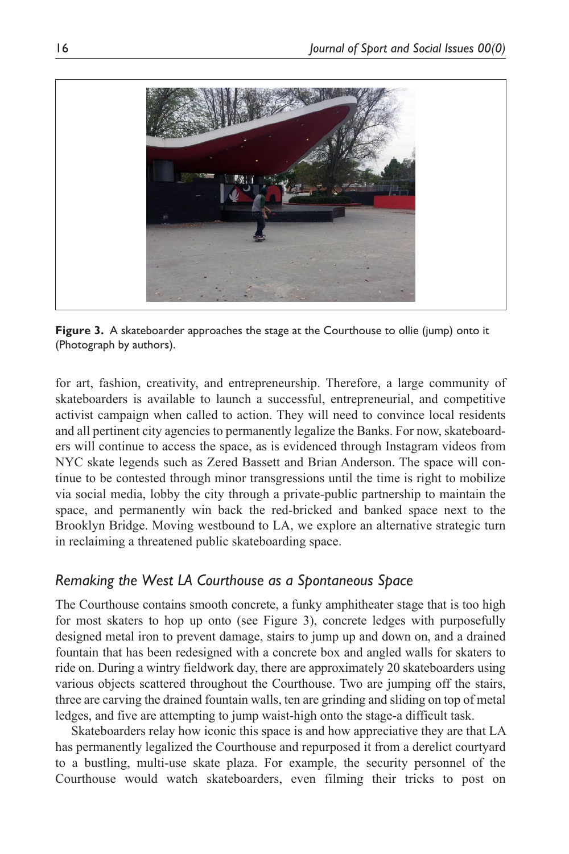

**Figure 3.** A skateboarder approaches the stage at the Courthouse to ollie (jump) onto it (Photograph by authors).

for art, fashion, creativity, and entrepreneurship. Therefore, a large community of skateboarders is available to launch a successful, entrepreneurial, and competitive activist campaign when called to action. They will need to convince local residents and all pertinent city agencies to permanently legalize the Banks. For now, skateboarders will continue to access the space, as is evidenced through Instagram videos from NYC skate legends such as Zered Bassett and Brian Anderson. The space will continue to be contested through minor transgressions until the time is right to mobilize via social media, lobby the city through a private-public partnership to maintain the space, and permanently win back the red-bricked and banked space next to the Brooklyn Bridge. Moving westbound to LA, we explore an alternative strategic turn in reclaiming a threatened public skateboarding space.

## *Remaking the West LA Courthouse as a Spontaneous Space*

The Courthouse contains smooth concrete, a funky amphitheater stage that is too high for most skaters to hop up onto (see Figure 3), concrete ledges with purposefully designed metal iron to prevent damage, stairs to jump up and down on, and a drained fountain that has been redesigned with a concrete box and angled walls for skaters to ride on. During a wintry fieldwork day, there are approximately 20 skateboarders using various objects scattered throughout the Courthouse. Two are jumping off the stairs, three are carving the drained fountain walls, ten are grinding and sliding on top of metal ledges, and five are attempting to jump waist-high onto the stage-a difficult task.

Skateboarders relay how iconic this space is and how appreciative they are that LA has permanently legalized the Courthouse and repurposed it from a derelict courtyard to a bustling, multi-use skate plaza. For example, the security personnel of the Courthouse would watch skateboarders, even filming their tricks to post on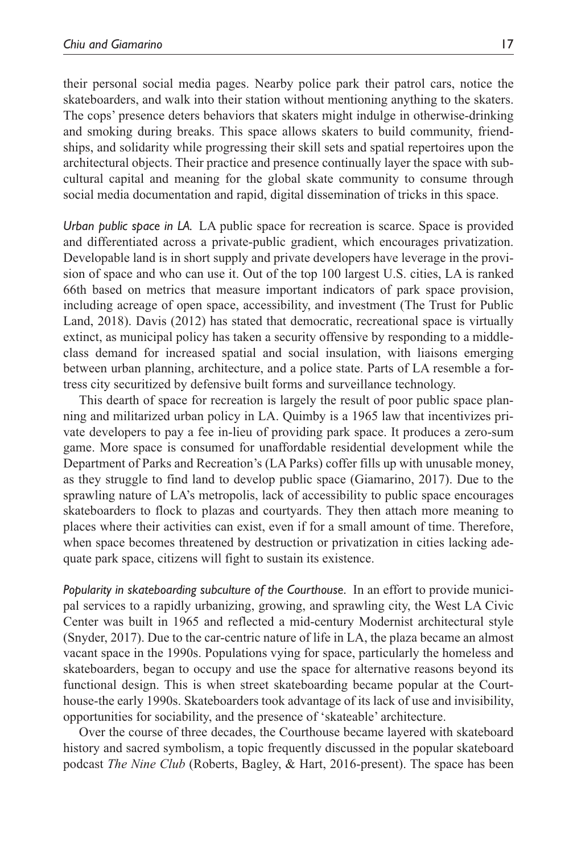their personal social media pages. Nearby police park their patrol cars, notice the skateboarders, and walk into their station without mentioning anything to the skaters. The cops' presence deters behaviors that skaters might indulge in otherwise-drinking and smoking during breaks. This space allows skaters to build community, friendships, and solidarity while progressing their skill sets and spatial repertoires upon the architectural objects. Their practice and presence continually layer the space with subcultural capital and meaning for the global skate community to consume through social media documentation and rapid, digital dissemination of tricks in this space.

*Urban public space in LA.* LA public space for recreation is scarce. Space is provided and differentiated across a private-public gradient, which encourages privatization. Developable land is in short supply and private developers have leverage in the provision of space and who can use it. Out of the top 100 largest U.S. cities, LA is ranked 66th based on metrics that measure important indicators of park space provision, including acreage of open space, accessibility, and investment (The Trust for Public Land, 2018). Davis (2012) has stated that democratic, recreational space is virtually extinct, as municipal policy has taken a security offensive by responding to a middleclass demand for increased spatial and social insulation, with liaisons emerging between urban planning, architecture, and a police state. Parts of LA resemble a fortress city securitized by defensive built forms and surveillance technology.

This dearth of space for recreation is largely the result of poor public space planning and militarized urban policy in LA. Quimby is a 1965 law that incentivizes private developers to pay a fee in-lieu of providing park space. It produces a zero-sum game. More space is consumed for unaffordable residential development while the Department of Parks and Recreation's (LA Parks) coffer fills up with unusable money, as they struggle to find land to develop public space (Giamarino, 2017). Due to the sprawling nature of LA's metropolis, lack of accessibility to public space encourages skateboarders to flock to plazas and courtyards. They then attach more meaning to places where their activities can exist, even if for a small amount of time. Therefore, when space becomes threatened by destruction or privatization in cities lacking adequate park space, citizens will fight to sustain its existence.

*Popularity in skateboarding subculture of the Courthouse.* In an effort to provide municipal services to a rapidly urbanizing, growing, and sprawling city, the West LA Civic Center was built in 1965 and reflected a mid-century Modernist architectural style (Snyder, 2017). Due to the car-centric nature of life in LA, the plaza became an almost vacant space in the 1990s. Populations vying for space, particularly the homeless and skateboarders, began to occupy and use the space for alternative reasons beyond its functional design. This is when street skateboarding became popular at the Courthouse-the early 1990s. Skateboarders took advantage of its lack of use and invisibility, opportunities for sociability, and the presence of 'skateable' architecture.

Over the course of three decades, the Courthouse became layered with skateboard history and sacred symbolism, a topic frequently discussed in the popular skateboard podcast *The Nine Club* (Roberts, Bagley, & Hart, 2016-present). The space has been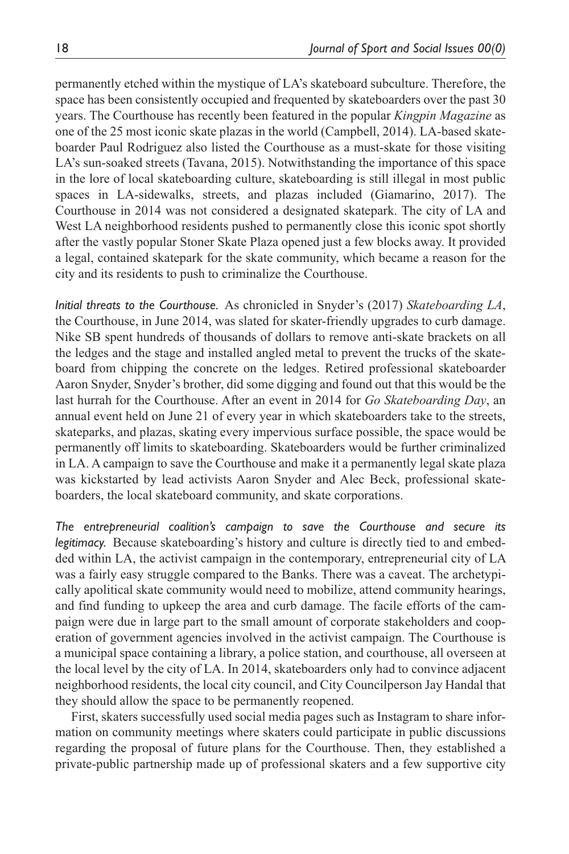permanently etched within the mystique of LA's skateboard subculture. Therefore, the space has been consistently occupied and frequented by skateboarders over the past 30 years. The Courthouse has recently been featured in the popular *Kingpin Magazine* as one of the 25 most iconic skate plazas in the world (Campbell, 2014). LA-based skateboarder Paul Rodriguez also listed the Courthouse as a must-skate for those visiting LA's sun-soaked streets (Tavana, 2015). Notwithstanding the importance of this space in the lore of local skateboarding culture, skateboarding is still illegal in most public spaces in LA-sidewalks, streets, and plazas included (Giamarino, 2017). The Courthouse in 2014 was not considered a designated skatepark. The city of LA and West LA neighborhood residents pushed to permanently close this iconic spot shortly after the vastly popular Stoner Skate Plaza opened just a few blocks away. It provided a legal, contained skatepark for the skate community, which became a reason for the city and its residents to push to criminalize the Courthouse.

*Initial threats to the Courthouse.* As chronicled in Snyder's (2017) *Skateboarding LA*, the Courthouse, in June 2014, was slated for skater-friendly upgrades to curb damage. Nike SB spent hundreds of thousands of dollars to remove anti-skate brackets on all the ledges and the stage and installed angled metal to prevent the trucks of the skateboard from chipping the concrete on the ledges. Retired professional skateboarder Aaron Snyder, Snyder's brother, did some digging and found out that this would be the last hurrah for the Courthouse. After an event in 2014 for *Go Skateboarding Day*, an annual event held on June 21 of every year in which skateboarders take to the streets, skateparks, and plazas, skating every impervious surface possible, the space would be permanently off limits to skateboarding. Skateboarders would be further criminalized in LA. A campaign to save the Courthouse and make it a permanently legal skate plaza was kickstarted by lead activists Aaron Snyder and Alec Beck, professional skateboarders, the local skateboard community, and skate corporations.

*The entrepreneurial coalition's campaign to save the Courthouse and secure its legitimacy.* Because skateboarding's history and culture is directly tied to and embedded within LA, the activist campaign in the contemporary, entrepreneurial city of LA was a fairly easy struggle compared to the Banks. There was a caveat. The archetypically apolitical skate community would need to mobilize, attend community hearings, and find funding to upkeep the area and curb damage. The facile efforts of the campaign were due in large part to the small amount of corporate stakeholders and cooperation of government agencies involved in the activist campaign. The Courthouse is a municipal space containing a library, a police station, and courthouse, all overseen at the local level by the city of LA. In 2014, skateboarders only had to convince adjacent neighborhood residents, the local city council, and City Councilperson Jay Handal that they should allow the space to be permanently reopened.

First, skaters successfully used social media pages such as Instagram to share information on community meetings where skaters could participate in public discussions regarding the proposal of future plans for the Courthouse. Then, they established a private-public partnership made up of professional skaters and a few supportive city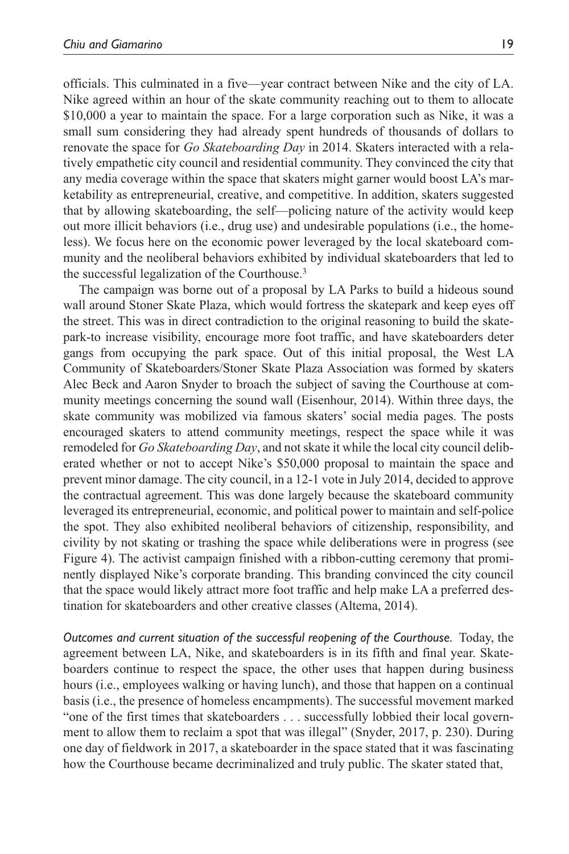officials. This culminated in a five—year contract between Nike and the city of LA. Nike agreed within an hour of the skate community reaching out to them to allocate \$10,000 a year to maintain the space. For a large corporation such as Nike, it was a small sum considering they had already spent hundreds of thousands of dollars to renovate the space for *Go Skateboarding Day* in 2014. Skaters interacted with a relatively empathetic city council and residential community. They convinced the city that any media coverage within the space that skaters might garner would boost LA's marketability as entrepreneurial, creative, and competitive. In addition, skaters suggested that by allowing skateboarding, the self—policing nature of the activity would keep out more illicit behaviors (i.e., drug use) and undesirable populations (i.e., the homeless). We focus here on the economic power leveraged by the local skateboard community and the neoliberal behaviors exhibited by individual skateboarders that led to the successful legalization of the Courthouse.3

The campaign was borne out of a proposal by LA Parks to build a hideous sound wall around Stoner Skate Plaza, which would fortress the skatepark and keep eyes off the street. This was in direct contradiction to the original reasoning to build the skatepark-to increase visibility, encourage more foot traffic, and have skateboarders deter gangs from occupying the park space. Out of this initial proposal, the West LA Community of Skateboarders/Stoner Skate Plaza Association was formed by skaters Alec Beck and Aaron Snyder to broach the subject of saving the Courthouse at community meetings concerning the sound wall (Eisenhour, 2014). Within three days, the skate community was mobilized via famous skaters' social media pages. The posts encouraged skaters to attend community meetings, respect the space while it was remodeled for *Go Skateboarding Day*, and not skate it while the local city council deliberated whether or not to accept Nike's \$50,000 proposal to maintain the space and prevent minor damage. The city council, in a 12-1 vote in July 2014, decided to approve the contractual agreement. This was done largely because the skateboard community leveraged its entrepreneurial, economic, and political power to maintain and self-police the spot. They also exhibited neoliberal behaviors of citizenship, responsibility, and civility by not skating or trashing the space while deliberations were in progress (see Figure 4). The activist campaign finished with a ribbon-cutting ceremony that prominently displayed Nike's corporate branding. This branding convinced the city council that the space would likely attract more foot traffic and help make LA a preferred destination for skateboarders and other creative classes (Altema, 2014).

*Outcomes and current situation of the successful reopening of the Courthouse.* Today, the agreement between LA, Nike, and skateboarders is in its fifth and final year. Skateboarders continue to respect the space, the other uses that happen during business hours (i.e., employees walking or having lunch), and those that happen on a continual basis (i.e., the presence of homeless encampments). The successful movement marked "one of the first times that skateboarders . . . successfully lobbied their local government to allow them to reclaim a spot that was illegal" (Snyder, 2017, p. 230). During one day of fieldwork in 2017, a skateboarder in the space stated that it was fascinating how the Courthouse became decriminalized and truly public. The skater stated that,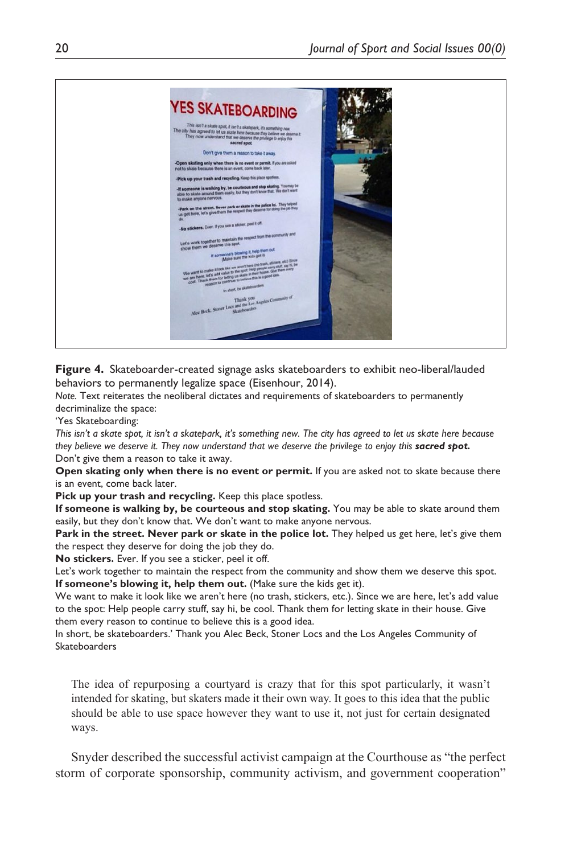

**Figure 4.** Skateboarder-created signage asks skateboarders to exhibit neo-liberal/lauded behaviors to permanently legalize space (Eisenhour, 2014).

*Note.* Text reiterates the neoliberal dictates and requirements of skateboarders to permanently decriminalize the space:

'Yes Skateboarding:

*This isn't a skate spot, it isn't a skatepark, it's something new. The city has agreed to let us skate here because*  they believe we deserve it. They now understand that we deserve the privilege to enjoy this **sacred spot.** Don't give them a reason to take it away.

**Open skating only when there is no event or permit.** If you are asked not to skate because there is an event, come back later.

**Pick up your trash and recycling.** Keep this place spotless.

**If someone is walking by, be courteous and stop skating.** You may be able to skate around them easily, but they don't know that. We don't want to make anyone nervous.

**Park in the street. Never park or skate in the police lot.** They helped us get here, let's give them the respect they deserve for doing the job they do.

**No stickers.** Ever. If you see a sticker, peel it off.

Let's work together to maintain the respect from the community and show them we deserve this spot. **If someone's blowing it, help them out.** (Make sure the kids get it).

We want to make it look like we aren't here (no trash, stickers, etc.). Since we are here, let's add value to the spot: Help people carry stuff, say hi, be cool. Thank them for letting skate in their house. Give them every reason to continue to believe this is a good idea.

In short, be skateboarders.' Thank you Alec Beck, Stoner Locs and the Los Angeles Community of Skateboarders

The idea of repurposing a courtyard is crazy that for this spot particularly, it wasn't intended for skating, but skaters made it their own way. It goes to this idea that the public should be able to use space however they want to use it, not just for certain designated ways.

Snyder described the successful activist campaign at the Courthouse as "the perfect storm of corporate sponsorship, community activism, and government cooperation"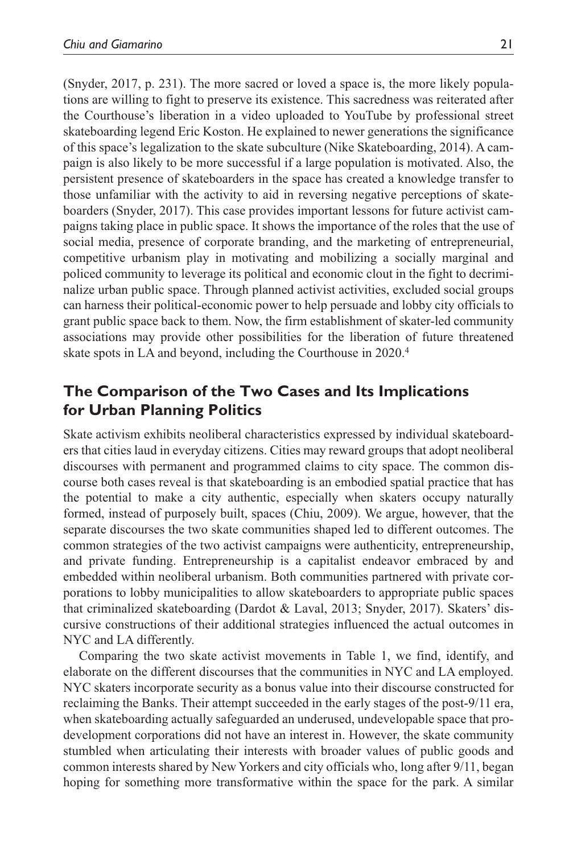(Snyder, 2017, p. 231). The more sacred or loved a space is, the more likely populations are willing to fight to preserve its existence. This sacredness was reiterated after the Courthouse's liberation in a video uploaded to YouTube by professional street skateboarding legend Eric Koston. He explained to newer generations the significance of this space's legalization to the skate subculture (Nike Skateboarding, 2014). A campaign is also likely to be more successful if a large population is motivated. Also, the persistent presence of skateboarders in the space has created a knowledge transfer to those unfamiliar with the activity to aid in reversing negative perceptions of skateboarders (Snyder, 2017). This case provides important lessons for future activist campaigns taking place in public space. It shows the importance of the roles that the use of social media, presence of corporate branding, and the marketing of entrepreneurial, competitive urbanism play in motivating and mobilizing a socially marginal and policed community to leverage its political and economic clout in the fight to decriminalize urban public space. Through planned activist activities, excluded social groups can harness their political-economic power to help persuade and lobby city officials to grant public space back to them. Now, the firm establishment of skater-led community associations may provide other possibilities for the liberation of future threatened skate spots in LA and beyond, including the Courthouse in 2020.4

## **The Comparison of the Two Cases and Its Implications for Urban Planning Politics**

Skate activism exhibits neoliberal characteristics expressed by individual skateboarders that cities laud in everyday citizens. Cities may reward groups that adopt neoliberal discourses with permanent and programmed claims to city space. The common discourse both cases reveal is that skateboarding is an embodied spatial practice that has the potential to make a city authentic, especially when skaters occupy naturally formed, instead of purposely built, spaces (Chiu, 2009). We argue, however, that the separate discourses the two skate communities shaped led to different outcomes. The common strategies of the two activist campaigns were authenticity, entrepreneurship, and private funding. Entrepreneurship is a capitalist endeavor embraced by and embedded within neoliberal urbanism. Both communities partnered with private corporations to lobby municipalities to allow skateboarders to appropriate public spaces that criminalized skateboarding (Dardot & Laval, 2013; Snyder, 2017). Skaters' discursive constructions of their additional strategies influenced the actual outcomes in NYC and LA differently.

Comparing the two skate activist movements in Table 1, we find, identify, and elaborate on the different discourses that the communities in NYC and LA employed. NYC skaters incorporate security as a bonus value into their discourse constructed for reclaiming the Banks. Their attempt succeeded in the early stages of the post-9/11 era, when skateboarding actually safeguarded an underused, undevelopable space that prodevelopment corporations did not have an interest in. However, the skate community stumbled when articulating their interests with broader values of public goods and common interests shared by New Yorkers and city officials who, long after 9/11, began hoping for something more transformative within the space for the park. A similar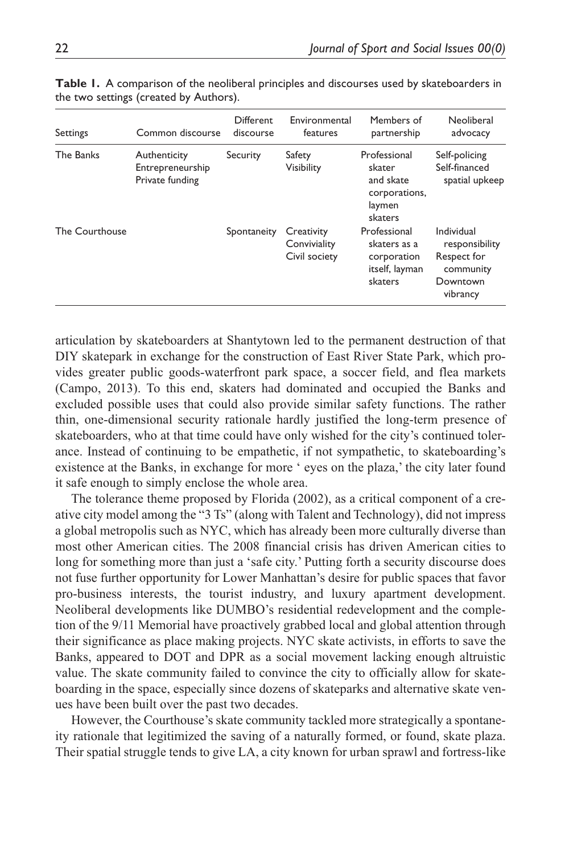| Settings       | Common discourse                                    | Different<br>discourse | <b>Environmental</b><br>features            | Members of<br>partnership                                                 | Neoliberal<br>advocacy                                                           |
|----------------|-----------------------------------------------------|------------------------|---------------------------------------------|---------------------------------------------------------------------------|----------------------------------------------------------------------------------|
| The Banks      | Authenticity<br>Entrepreneurship<br>Private funding | Security               | Safety<br>Visibility                        | Professional<br>skater<br>and skate<br>corporations,<br>laymen<br>skaters | Self-policing<br>Self-financed<br>spatial upkeep                                 |
| The Courthouse |                                                     | Spontaneity            | Creativity<br>Conviviality<br>Civil society | Professional<br>skaters as a<br>corporation<br>itself, layman<br>skaters  | Individual<br>responsibility<br>Respect for<br>community<br>Downtown<br>vibrancy |

**Table 1.** A comparison of the neoliberal principles and discourses used by skateboarders in the two settings (created by Authors).

articulation by skateboarders at Shantytown led to the permanent destruction of that DIY skatepark in exchange for the construction of East River State Park, which provides greater public goods-waterfront park space, a soccer field, and flea markets (Campo, 2013). To this end, skaters had dominated and occupied the Banks and excluded possible uses that could also provide similar safety functions. The rather thin, one-dimensional security rationale hardly justified the long-term presence of skateboarders, who at that time could have only wished for the city's continued tolerance. Instead of continuing to be empathetic, if not sympathetic, to skateboarding's existence at the Banks, in exchange for more ' eyes on the plaza,' the city later found it safe enough to simply enclose the whole area.

The tolerance theme proposed by Florida (2002), as a critical component of a creative city model among the "3 Ts" (along with Talent and Technology), did not impress a global metropolis such as NYC, which has already been more culturally diverse than most other American cities. The 2008 financial crisis has driven American cities to long for something more than just a 'safe city.' Putting forth a security discourse does not fuse further opportunity for Lower Manhattan's desire for public spaces that favor pro-business interests, the tourist industry, and luxury apartment development. Neoliberal developments like DUMBO's residential redevelopment and the completion of the 9/11 Memorial have proactively grabbed local and global attention through their significance as place making projects. NYC skate activists, in efforts to save the Banks, appeared to DOT and DPR as a social movement lacking enough altruistic value. The skate community failed to convince the city to officially allow for skateboarding in the space, especially since dozens of skateparks and alternative skate venues have been built over the past two decades.

However, the Courthouse's skate community tackled more strategically a spontaneity rationale that legitimized the saving of a naturally formed, or found, skate plaza. Their spatial struggle tends to give LA, a city known for urban sprawl and fortress-like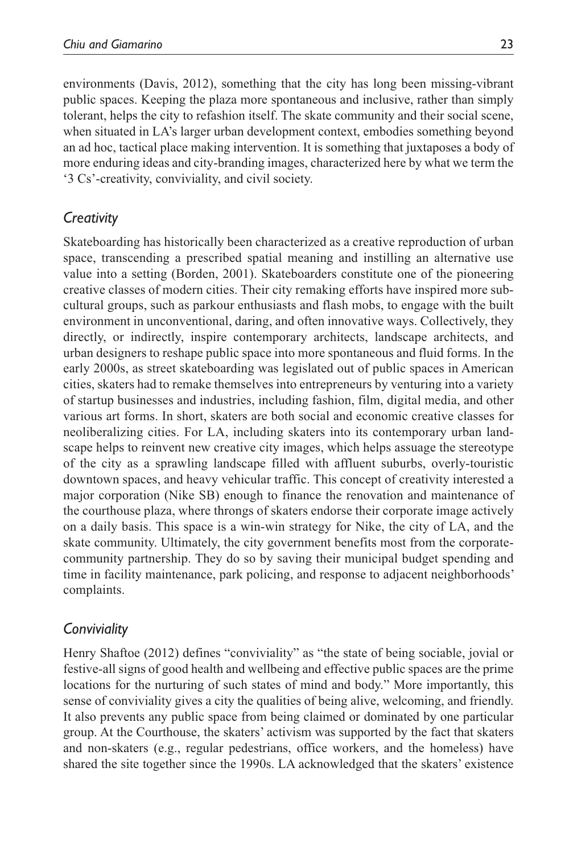environments (Davis, 2012), something that the city has long been missing-vibrant public spaces. Keeping the plaza more spontaneous and inclusive, rather than simply tolerant, helps the city to refashion itself. The skate community and their social scene, when situated in LA's larger urban development context, embodies something beyond an ad hoc, tactical place making intervention. It is something that juxtaposes a body of more enduring ideas and city-branding images, characterized here by what we term the '3 Cs'-creativity, conviviality, and civil society.

## *Creativity*

Skateboarding has historically been characterized as a creative reproduction of urban space, transcending a prescribed spatial meaning and instilling an alternative use value into a setting (Borden, 2001). Skateboarders constitute one of the pioneering creative classes of modern cities. Their city remaking efforts have inspired more subcultural groups, such as parkour enthusiasts and flash mobs, to engage with the built environment in unconventional, daring, and often innovative ways. Collectively, they directly, or indirectly, inspire contemporary architects, landscape architects, and urban designers to reshape public space into more spontaneous and fluid forms. In the early 2000s, as street skateboarding was legislated out of public spaces in American cities, skaters had to remake themselves into entrepreneurs by venturing into a variety of startup businesses and industries, including fashion, film, digital media, and other various art forms. In short, skaters are both social and economic creative classes for neoliberalizing cities. For LA, including skaters into its contemporary urban landscape helps to reinvent new creative city images, which helps assuage the stereotype of the city as a sprawling landscape filled with affluent suburbs, overly-touristic downtown spaces, and heavy vehicular traffic. This concept of creativity interested a major corporation (Nike SB) enough to finance the renovation and maintenance of the courthouse plaza, where throngs of skaters endorse their corporate image actively on a daily basis. This space is a win-win strategy for Nike, the city of LA, and the skate community. Ultimately, the city government benefits most from the corporatecommunity partnership. They do so by saving their municipal budget spending and time in facility maintenance, park policing, and response to adjacent neighborhoods' complaints.

## *Conviviality*

Henry Shaftoe (2012) defines "conviviality" as "the state of being sociable, jovial or festive-all signs of good health and wellbeing and effective public spaces are the prime locations for the nurturing of such states of mind and body." More importantly, this sense of conviviality gives a city the qualities of being alive, welcoming, and friendly. It also prevents any public space from being claimed or dominated by one particular group. At the Courthouse, the skaters' activism was supported by the fact that skaters and non-skaters (e.g., regular pedestrians, office workers, and the homeless) have shared the site together since the 1990s. LA acknowledged that the skaters' existence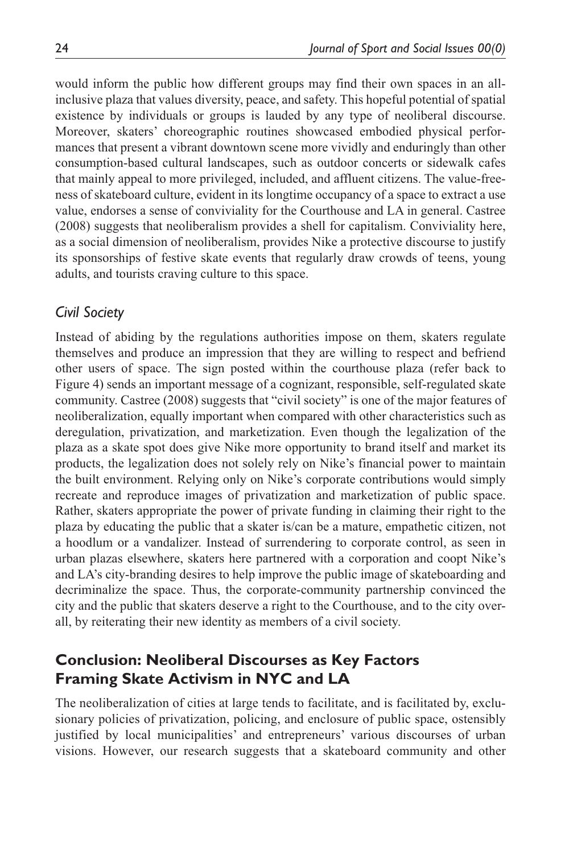would inform the public how different groups may find their own spaces in an allinclusive plaza that values diversity, peace, and safety. This hopeful potential of spatial existence by individuals or groups is lauded by any type of neoliberal discourse. Moreover, skaters' choreographic routines showcased embodied physical performances that present a vibrant downtown scene more vividly and enduringly than other consumption-based cultural landscapes, such as outdoor concerts or sidewalk cafes that mainly appeal to more privileged, included, and affluent citizens. The value-freeness of skateboard culture, evident in its longtime occupancy of a space to extract a use value, endorses a sense of conviviality for the Courthouse and LA in general. Castree (2008) suggests that neoliberalism provides a shell for capitalism. Conviviality here, as a social dimension of neoliberalism, provides Nike a protective discourse to justify its sponsorships of festive skate events that regularly draw crowds of teens, young adults, and tourists craving culture to this space.

## *Civil Society*

Instead of abiding by the regulations authorities impose on them, skaters regulate themselves and produce an impression that they are willing to respect and befriend other users of space. The sign posted within the courthouse plaza (refer back to Figure 4) sends an important message of a cognizant, responsible, self-regulated skate community. Castree (2008) suggests that "civil society" is one of the major features of neoliberalization, equally important when compared with other characteristics such as deregulation, privatization, and marketization. Even though the legalization of the plaza as a skate spot does give Nike more opportunity to brand itself and market its products, the legalization does not solely rely on Nike's financial power to maintain the built environment. Relying only on Nike's corporate contributions would simply recreate and reproduce images of privatization and marketization of public space. Rather, skaters appropriate the power of private funding in claiming their right to the plaza by educating the public that a skater is/can be a mature, empathetic citizen, not a hoodlum or a vandalizer. Instead of surrendering to corporate control, as seen in urban plazas elsewhere, skaters here partnered with a corporation and coopt Nike's and LA's city-branding desires to help improve the public image of skateboarding and decriminalize the space. Thus, the corporate-community partnership convinced the city and the public that skaters deserve a right to the Courthouse, and to the city overall, by reiterating their new identity as members of a civil society.

# **Conclusion: Neoliberal Discourses as Key Factors Framing Skate Activism in NYC and LA**

The neoliberalization of cities at large tends to facilitate, and is facilitated by, exclusionary policies of privatization, policing, and enclosure of public space, ostensibly justified by local municipalities' and entrepreneurs' various discourses of urban visions. However, our research suggests that a skateboard community and other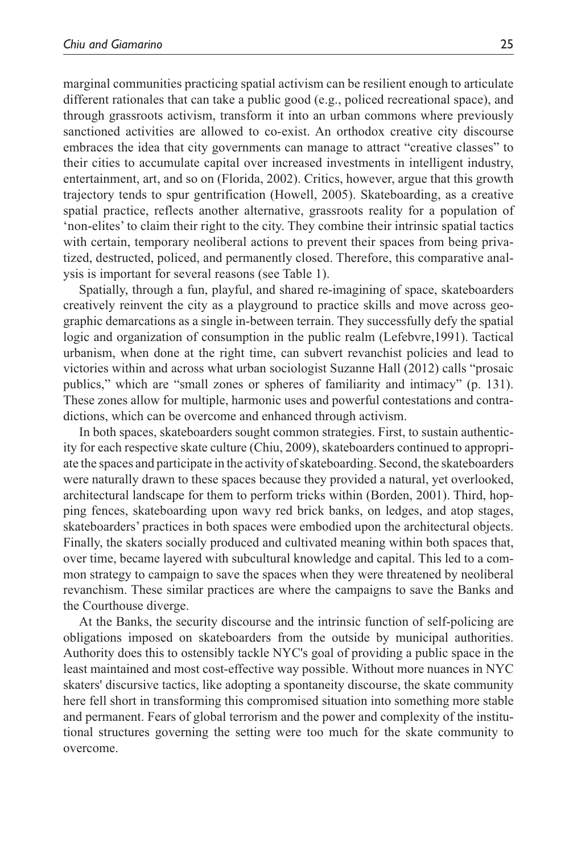marginal communities practicing spatial activism can be resilient enough to articulate different rationales that can take a public good (e.g., policed recreational space), and through grassroots activism, transform it into an urban commons where previously sanctioned activities are allowed to co-exist. An orthodox creative city discourse embraces the idea that city governments can manage to attract "creative classes" to their cities to accumulate capital over increased investments in intelligent industry, entertainment, art, and so on (Florida, 2002). Critics, however, argue that this growth trajectory tends to spur gentrification (Howell, 2005). Skateboarding, as a creative spatial practice, reflects another alternative, grassroots reality for a population of 'non-elites' to claim their right to the city. They combine their intrinsic spatial tactics with certain, temporary neoliberal actions to prevent their spaces from being privatized, destructed, policed, and permanently closed. Therefore, this comparative analysis is important for several reasons (see Table 1).

Spatially, through a fun, playful, and shared re-imagining of space, skateboarders creatively reinvent the city as a playground to practice skills and move across geographic demarcations as a single in-between terrain. They successfully defy the spatial logic and organization of consumption in the public realm (Lefebvre,1991). Tactical urbanism, when done at the right time, can subvert revanchist policies and lead to victories within and across what urban sociologist Suzanne Hall (2012) calls "prosaic publics," which are "small zones or spheres of familiarity and intimacy" (p. 131). These zones allow for multiple, harmonic uses and powerful contestations and contradictions, which can be overcome and enhanced through activism.

In both spaces, skateboarders sought common strategies. First, to sustain authenticity for each respective skate culture (Chiu, 2009), skateboarders continued to appropriate the spaces and participate in the activity of skateboarding. Second, the skateboarders were naturally drawn to these spaces because they provided a natural, yet overlooked, architectural landscape for them to perform tricks within (Borden, 2001). Third, hopping fences, skateboarding upon wavy red brick banks, on ledges, and atop stages, skateboarders' practices in both spaces were embodied upon the architectural objects. Finally, the skaters socially produced and cultivated meaning within both spaces that, over time, became layered with subcultural knowledge and capital. This led to a common strategy to campaign to save the spaces when they were threatened by neoliberal revanchism. These similar practices are where the campaigns to save the Banks and the Courthouse diverge.

At the Banks, the security discourse and the intrinsic function of self-policing are obligations imposed on skateboarders from the outside by municipal authorities. Authority does this to ostensibly tackle NYC's goal of providing a public space in the least maintained and most cost-effective way possible. Without more nuances in NYC skaters' discursive tactics, like adopting a spontaneity discourse, the skate community here fell short in transforming this compromised situation into something more stable and permanent. Fears of global terrorism and the power and complexity of the institutional structures governing the setting were too much for the skate community to overcome.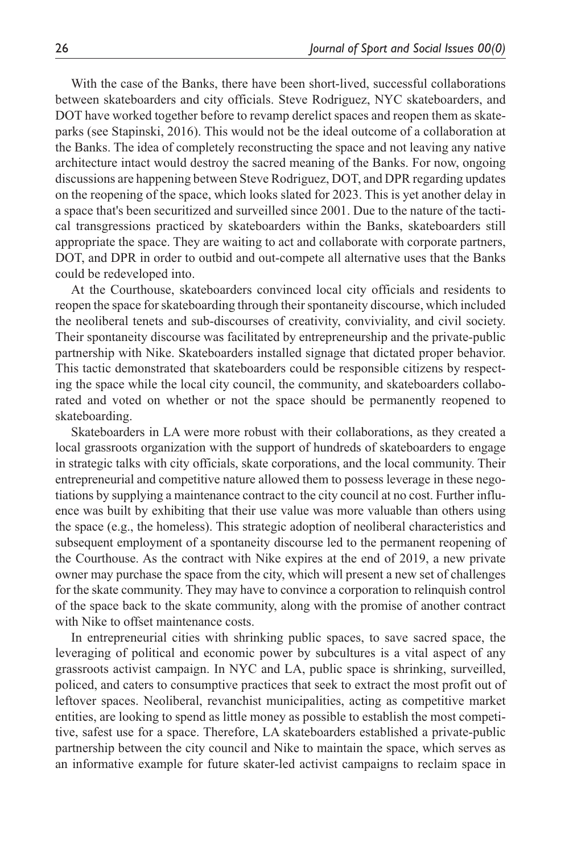With the case of the Banks, there have been short-lived, successful collaborations between skateboarders and city officials. Steve Rodriguez, NYC skateboarders, and DOT have worked together before to revamp derelict spaces and reopen them as skateparks (see Stapinski, 2016). This would not be the ideal outcome of a collaboration at the Banks. The idea of completely reconstructing the space and not leaving any native architecture intact would destroy the sacred meaning of the Banks. For now, ongoing discussions are happening between Steve Rodriguez, DOT, and DPR regarding updates on the reopening of the space, which looks slated for 2023. This is yet another delay in a space that's been securitized and surveilled since 2001. Due to the nature of the tactical transgressions practiced by skateboarders within the Banks, skateboarders still appropriate the space. They are waiting to act and collaborate with corporate partners, DOT, and DPR in order to outbid and out-compete all alternative uses that the Banks could be redeveloped into.

At the Courthouse, skateboarders convinced local city officials and residents to reopen the space for skateboarding through their spontaneity discourse, which included the neoliberal tenets and sub-discourses of creativity, conviviality, and civil society. Their spontaneity discourse was facilitated by entrepreneurship and the private-public partnership with Nike. Skateboarders installed signage that dictated proper behavior. This tactic demonstrated that skateboarders could be responsible citizens by respecting the space while the local city council, the community, and skateboarders collaborated and voted on whether or not the space should be permanently reopened to skateboarding.

Skateboarders in LA were more robust with their collaborations, as they created a local grassroots organization with the support of hundreds of skateboarders to engage in strategic talks with city officials, skate corporations, and the local community. Their entrepreneurial and competitive nature allowed them to possess leverage in these negotiations by supplying a maintenance contract to the city council at no cost. Further influence was built by exhibiting that their use value was more valuable than others using the space (e.g., the homeless). This strategic adoption of neoliberal characteristics and subsequent employment of a spontaneity discourse led to the permanent reopening of the Courthouse. As the contract with Nike expires at the end of 2019, a new private owner may purchase the space from the city, which will present a new set of challenges for the skate community. They may have to convince a corporation to relinquish control of the space back to the skate community, along with the promise of another contract with Nike to offset maintenance costs.

In entrepreneurial cities with shrinking public spaces, to save sacred space, the leveraging of political and economic power by subcultures is a vital aspect of any grassroots activist campaign. In NYC and LA, public space is shrinking, surveilled, policed, and caters to consumptive practices that seek to extract the most profit out of leftover spaces. Neoliberal, revanchist municipalities, acting as competitive market entities, are looking to spend as little money as possible to establish the most competitive, safest use for a space. Therefore, LA skateboarders established a private-public partnership between the city council and Nike to maintain the space, which serves as an informative example for future skater-led activist campaigns to reclaim space in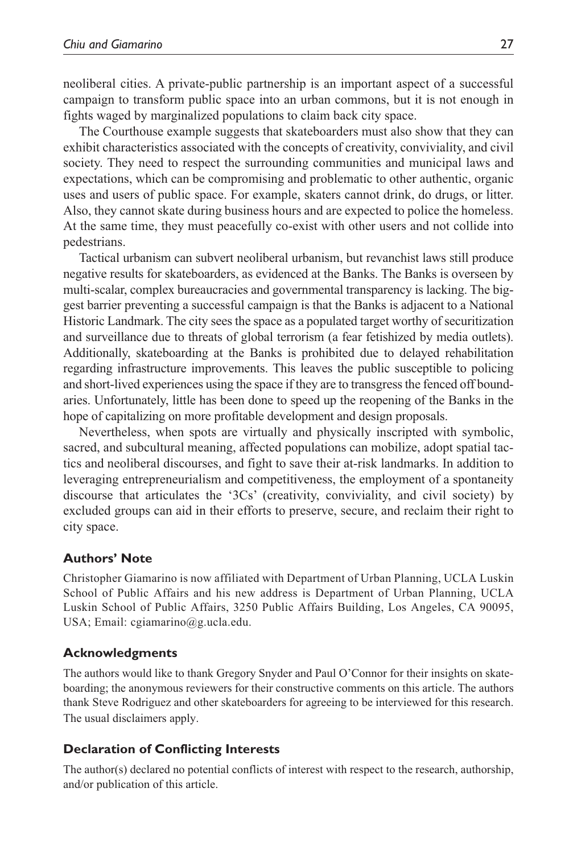neoliberal cities. A private-public partnership is an important aspect of a successful campaign to transform public space into an urban commons, but it is not enough in fights waged by marginalized populations to claim back city space.

The Courthouse example suggests that skateboarders must also show that they can exhibit characteristics associated with the concepts of creativity, conviviality, and civil society. They need to respect the surrounding communities and municipal laws and expectations, which can be compromising and problematic to other authentic, organic uses and users of public space. For example, skaters cannot drink, do drugs, or litter. Also, they cannot skate during business hours and are expected to police the homeless. At the same time, they must peacefully co-exist with other users and not collide into pedestrians.

Tactical urbanism can subvert neoliberal urbanism, but revanchist laws still produce negative results for skateboarders, as evidenced at the Banks. The Banks is overseen by multi-scalar, complex bureaucracies and governmental transparency is lacking. The biggest barrier preventing a successful campaign is that the Banks is adjacent to a National Historic Landmark. The city sees the space as a populated target worthy of securitization and surveillance due to threats of global terrorism (a fear fetishized by media outlets). Additionally, skateboarding at the Banks is prohibited due to delayed rehabilitation regarding infrastructure improvements. This leaves the public susceptible to policing and short-lived experiences using the space if they are to transgress the fenced off boundaries. Unfortunately, little has been done to speed up the reopening of the Banks in the hope of capitalizing on more profitable development and design proposals.

Nevertheless, when spots are virtually and physically inscripted with symbolic, sacred, and subcultural meaning, affected populations can mobilize, adopt spatial tactics and neoliberal discourses, and fight to save their at-risk landmarks. In addition to leveraging entrepreneurialism and competitiveness, the employment of a spontaneity discourse that articulates the '3Cs' (creativity, conviviality, and civil society) by excluded groups can aid in their efforts to preserve, secure, and reclaim their right to city space.

### **Authors' Note**

Christopher Giamarino is now affiliated with Department of Urban Planning, UCLA Luskin School of Public Affairs and his new address is Department of Urban Planning, UCLA Luskin School of Public Affairs, 3250 Public Affairs Building, Los Angeles, CA 90095, USA; Email: cgiamarino@g.ucla.edu.

### **Acknowledgments**

The authors would like to thank Gregory Snyder and Paul O'Connor for their insights on skateboarding; the anonymous reviewers for their constructive comments on this article. The authors thank Steve Rodriguez and other skateboarders for agreeing to be interviewed for this research. The usual disclaimers apply.

### **Declaration of Conflicting Interests**

The author(s) declared no potential conflicts of interest with respect to the research, authorship, and/or publication of this article.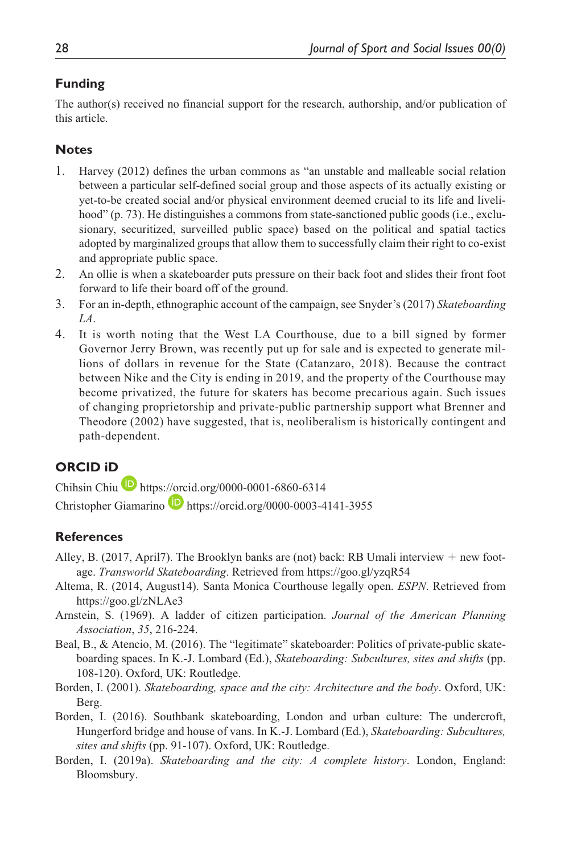### **Funding**

The author(s) received no financial support for the research, authorship, and/or publication of this article.

### **Notes**

- 1. Harvey (2012) defines the urban commons as "an unstable and malleable social relation between a particular self-defined social group and those aspects of its actually existing or yet-to-be created social and/or physical environment deemed crucial to its life and livelihood" (p. 73). He distinguishes a commons from state-sanctioned public goods (i.e., exclusionary, securitized, surveilled public space) based on the political and spatial tactics adopted by marginalized groups that allow them to successfully claim their right to co-exist and appropriate public space.
- 2. An ollie is when a skateboarder puts pressure on their back foot and slides their front foot forward to life their board off of the ground.
- 3. For an in-depth, ethnographic account of the campaign, see Snyder's (2017) *Skateboarding LA*.
- 4. It is worth noting that the West LA Courthouse, due to a bill signed by former Governor Jerry Brown, was recently put up for sale and is expected to generate millions of dollars in revenue for the State (Catanzaro, 2018). Because the contract between Nike and the City is ending in 2019, and the property of the Courthouse may become privatized, the future for skaters has become precarious again. Such issues of changing proprietorship and private-public partnership support what Brenner and Theodore (2002) have suggested, that is, neoliberalism is historically contingent and path-dependent.

## **ORCID iD**

Chihsin Chiu https://orcid.org/0000-0001-6860-6314 Christopher Giamarino <https://orcid.org/0000-0003-4141-3955>

### **References**

- Alley, B. (2017, April7). The Brooklyn banks are (not) back: RB Umali interview + new footage. *Transworld Skateboarding*. Retrieved from<https://goo.gl/yzqR54>
- Altema, R. (2014, August14). Santa Monica Courthouse legally open. *ESPN*. Retrieved from <https://goo.gl/zNLAe3>
- Arnstein, S. (1969). A ladder of citizen participation. *Journal of the American Planning Association*, *35*, 216-224.
- Beal, B., & Atencio, M. (2016). The "legitimate" skateboarder: Politics of private-public skateboarding spaces. In K.-J. Lombard (Ed.), *Skateboarding: Subcultures, sites and shifts* (pp. 108-120). Oxford, UK: Routledge.
- Borden, I. (2001). *Skateboarding, space and the city: Architecture and the body*. Oxford, UK: Berg.
- Borden, I. (2016). Southbank skateboarding, London and urban culture: The undercroft, Hungerford bridge and house of vans. In K.-J. Lombard (Ed.), *Skateboarding: Subcultures, sites and shifts* (pp. 91-107). Oxford, UK: Routledge.
- Borden, I. (2019a). *Skateboarding and the city: A complete history*. London, England: Bloomsbury.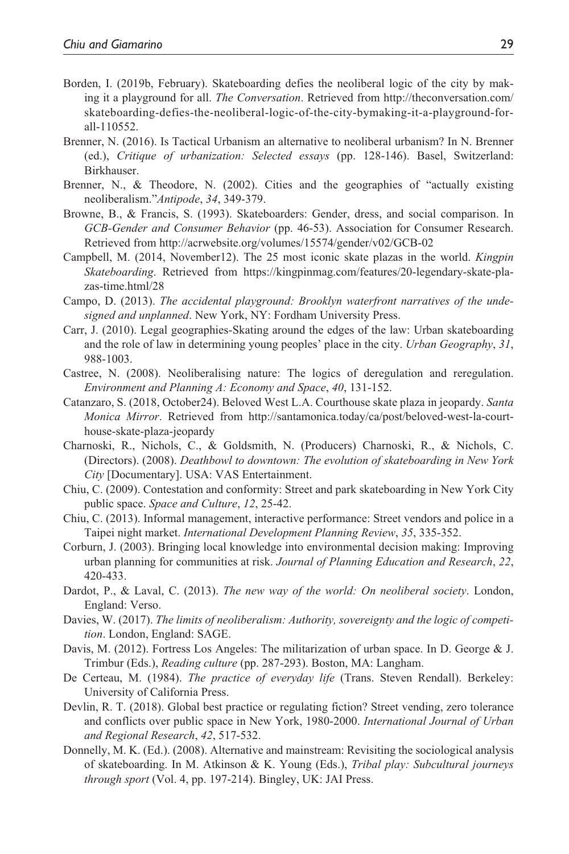- Borden, I. (2019b, February). Skateboarding defies the neoliberal logic of the city by making it a playground for all. *The Conversation*. Retrieved from [http://theconversation.com/](http://theconversation.com/skateboarding-defies-the-neoliberal-logic-of-the-city-bymaking-it-a-playground-for-all-110552) [skateboarding-defies-the-neoliberal-logic-of-the-city-bymaking-it-a-playground-for](http://theconversation.com/skateboarding-defies-the-neoliberal-logic-of-the-city-bymaking-it-a-playground-for-all-110552)[all-110552.](http://theconversation.com/skateboarding-defies-the-neoliberal-logic-of-the-city-bymaking-it-a-playground-for-all-110552)
- Brenner, N. (2016). Is Tactical Urbanism an alternative to neoliberal urbanism? In N. Brenner (ed.), *Critique of urbanization: Selected essays* (pp. 128-146). Basel, Switzerland: Birkhauser.
- Brenner, N., & Theodore, N. (2002). Cities and the geographies of "actually existing neoliberalism."*Antipode*, *34*, 349-379.
- Browne, B., & Francis, S. (1993). Skateboarders: Gender, dress, and social comparison. In *GCB-Gender and Consumer Behavior* (pp. 46-53). Association for Consumer Research. Retrieved from <http://acrwebsite.org/volumes/15574/gender/v02/GCB-02>
- Campbell, M. (2014, November12). The 25 most iconic skate plazas in the world. *Kingpin Skateboarding*. Retrieved from [https://kingpinmag.com/features/20-legendary-skate-pla](https://kingpinmag.com/features/20-legendary-skate-plazas-time.html/28)[zas-time.html/28](https://kingpinmag.com/features/20-legendary-skate-plazas-time.html/28)
- Campo, D. (2013). *The accidental playground: Brooklyn waterfront narratives of the undesigned and unplanned*. New York, NY: Fordham University Press.
- Carr, J. (2010). Legal geographies-Skating around the edges of the law: Urban skateboarding and the role of law in determining young peoples' place in the city. *Urban Geography*, *31*, 988-1003.
- Castree, N. (2008). Neoliberalising nature: The logics of deregulation and reregulation. *Environment and Planning A: Economy and Space*, *40*, 131-152.
- Catanzaro, S. (2018, October24). Beloved West L.A. Courthouse skate plaza in jeopardy. *Santa Monica Mirror*. Retrieved from [http://santamonica.today/ca/post/beloved-west-la-court](http://santamonica.today/ca/post/beloved-west-la-courthouse-skate-plaza-jeopardy)[house-skate-plaza-jeopardy](http://santamonica.today/ca/post/beloved-west-la-courthouse-skate-plaza-jeopardy)
- Charnoski, R., Nichols, C., & Goldsmith, N. (Producers) Charnoski, R., & Nichols, C. (Directors). (2008). *Deathbowl to downtown: The evolution of skateboarding in New York City* [Documentary]. USA: VAS Entertainment.
- Chiu, C. (2009). Contestation and conformity: Street and park skateboarding in New York City public space. *Space and Culture*, *12*, 25-42.
- Chiu, C. (2013). Informal management, interactive performance: Street vendors and police in a Taipei night market. *International Development Planning Review*, *35*, 335-352.
- Corburn, J. (2003). Bringing local knowledge into environmental decision making: Improving urban planning for communities at risk. *Journal of Planning Education and Research*, *22*, 420-433.
- Dardot, P., & Laval, C. (2013). *The new way of the world: On neoliberal society*. London, England: Verso.
- Davies, W. (2017). *The limits of neoliberalism: Authority, sovereignty and the logic of competition*. London, England: SAGE.
- Davis, M. (2012). Fortress Los Angeles: The militarization of urban space. In D. George & J. Trimbur (Eds.), *Reading culture* (pp. 287-293). Boston, MA: Langham.
- De Certeau, M. (1984). *The practice of everyday life* (Trans. Steven Rendall). Berkeley: University of California Press.
- Devlin, R. T. (2018). Global best practice or regulating fiction? Street vending, zero tolerance and conflicts over public space in New York, 1980-2000. *International Journal of Urban and Regional Research*, *42*, 517-532.
- Donnelly, M. K. (Ed.). (2008). Alternative and mainstream: Revisiting the sociological analysis of skateboarding. In M. Atkinson & K. Young (Eds.), *Tribal play: Subcultural journeys through sport* (Vol. 4, pp. 197-214). Bingley, UK: JAI Press.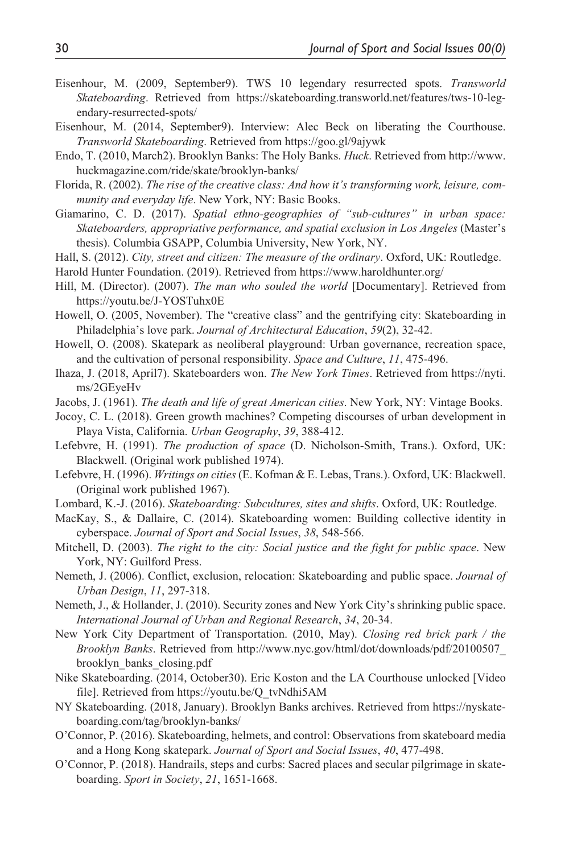- Eisenhour, M. (2009, September9). TWS 10 legendary resurrected spots. *Transworld Skateboarding*. Retrieved from [https://skateboarding.transworld.net/features/tws-10-leg](https://skateboarding.transworld.net/features/tws-10-legendary-resurrected-spots/)[endary-resurrected-spots/](https://skateboarding.transworld.net/features/tws-10-legendary-resurrected-spots/)
- Eisenhour, M. (2014, September9). Interview: Alec Beck on liberating the Courthouse. *Transworld Skateboarding*. Retrieved from<https://goo.gl/9ajywk>
- Endo, T. (2010, March2). Brooklyn Banks: The Holy Banks. *Huck*. Retrieved from [http://www.](http://www.huckmagazine.com/ride/skate/brooklyn-banks/) [huckmagazine.com/ride/skate/brooklyn-banks/](http://www.huckmagazine.com/ride/skate/brooklyn-banks/)
- Florida, R. (2002). *The rise of the creative class: And how it's transforming work, leisure, community and everyday life*. New York, NY: Basic Books.
- Giamarino, C. D. (2017). *Spatial ethno-geographies of "sub-cultures" in urban space: Skateboarders, appropriative performance, and spatial exclusion in Los Angeles* (Master's thesis). Columbia GSAPP, Columbia University, New York, NY.
- Hall, S. (2012). *City, street and citizen: The measure of the ordinary*. Oxford, UK: Routledge.
- Harold Hunter Foundation. (2019). Retrieved from<https://www.haroldhunter.org/>
- Hill, M. (Director). (2007). *The man who souled the world* [Documentary]. Retrieved from <https://youtu.be/J-YOSTuhx0E>
- Howell, O. (2005, November). The "creative class" and the gentrifying city: Skateboarding in Philadelphia's love park. *Journal of Architectural Education*, *59*(2), 32-42.
- Howell, O. (2008). Skatepark as neoliberal playground: Urban governance, recreation space, and the cultivation of personal responsibility. *Space and Culture*, *11*, 475-496.
- Ihaza, J. (2018, April7). Skateboarders won. *The New York Times*. Retrieved from [https://nyti.](https://nyti.ms/2GEyeHv) [ms/2GEyeHv](https://nyti.ms/2GEyeHv)
- Jacobs, J. (1961). *The death and life of great American cities*. New York, NY: Vintage Books.
- Jocoy, C. L. (2018). Green growth machines? Competing discourses of urban development in Playa Vista, California. *Urban Geography*, *39*, 388-412.
- Lefebvre, H. (1991). *The production of space* (D. Nicholson-Smith, Trans.). Oxford, UK: Blackwell. (Original work published 1974).
- Lefebvre, H. (1996). *Writings on cities* (E. Kofman & E. Lebas, Trans.). Oxford, UK: Blackwell. (Original work published 1967).
- Lombard, K.-J. (2016). *Skateboarding: Subcultures, sites and shifts*. Oxford, UK: Routledge.
- MacKay, S., & Dallaire, C. (2014). Skateboarding women: Building collective identity in cyberspace. *Journal of Sport and Social Issues*, *38*, 548-566.
- Mitchell, D. (2003). *The right to the city: Social justice and the fight for public space*. New York, NY: Guilford Press.
- Nemeth, J. (2006). Conflict, exclusion, relocation: Skateboarding and public space. *Journal of Urban Design*, *11*, 297-318.
- Nemeth, J., & Hollander, J. (2010). Security zones and New York City's shrinking public space. *International Journal of Urban and Regional Research*, *34*, 20-34.
- New York City Department of Transportation. (2010, May). *Closing red brick park / the Brooklyn Banks*. Retrieved from [http://www.nyc.gov/html/dot/downloads/pdf/20100507\\_](http://www.nyc.gov/html/dot/downloads/pdf/20100507_brooklyn_banks_closing.pdf) [brooklyn\\_banks\\_closing.pdf](http://www.nyc.gov/html/dot/downloads/pdf/20100507_brooklyn_banks_closing.pdf)
- Nike Skateboarding. (2014, October30). Eric Koston and the LA Courthouse unlocked [Video file]. Retrieved from [https://youtu.be/Q\\_tvNdhi5AM](https://youtu.be/Q_tvNdhi5AM)
- NY Skateboarding. (2018, January). Brooklyn Banks archives. Retrieved from [https://nyskate](https://nyskateboarding.com/tag/brooklyn-banks/)[boarding.com/tag/brooklyn-banks/](https://nyskateboarding.com/tag/brooklyn-banks/)
- O'Connor, P. (2016). Skateboarding, helmets, and control: Observations from skateboard media and a Hong Kong skatepark. *Journal of Sport and Social Issues*, *40*, 477-498.
- O'Connor, P. (2018). Handrails, steps and curbs: Sacred places and secular pilgrimage in skateboarding. *Sport in Society*, *21*, 1651-1668.